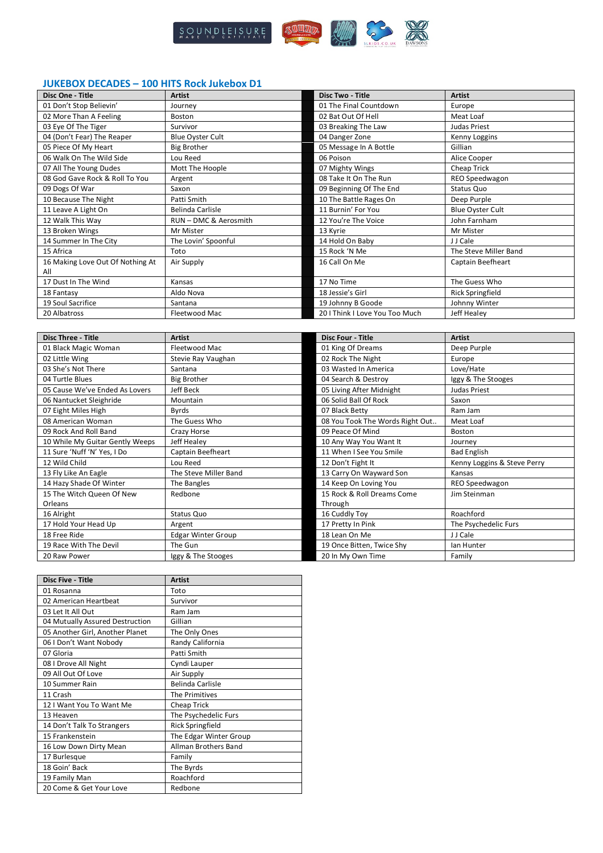

## **JUKEBOX DECADES – 100 HITS Rock Jukebox D1**

| Disc One - Title                 | Artist                  | <b>Disc Two - Title</b>       | <b>Artist</b>           |
|----------------------------------|-------------------------|-------------------------------|-------------------------|
| 01 Don't Stop Believin'          | Journev                 | 01 The Final Countdown        | Europe                  |
| 02 More Than A Feeling           | Boston                  | 02 Bat Out Of Hell            | Meat Loaf               |
| 03 Eye Of The Tiger              | Survivor                | 03 Breaking The Law           | Judas Priest            |
| 04 (Don't Fear) The Reaper       | <b>Blue Oyster Cult</b> | 04 Danger Zone                | Kenny Loggins           |
| 05 Piece Of My Heart             | <b>Big Brother</b>      | 05 Message In A Bottle        | Gillian                 |
| 06 Walk On The Wild Side         | Lou Reed                | 06 Poison                     | Alice Cooper            |
| 07 All The Young Dudes           | Mott The Hoople         | 07 Mighty Wings               | Cheap Trick             |
| 08 God Gave Rock & Roll To You   | Argent                  | 08 Take It On The Run         | REO Speedwagon          |
| 09 Dogs Of War                   | Saxon                   | 09 Beginning Of The End       | Status Quo              |
| 10 Because The Night             | Patti Smith             | 10 The Battle Rages On        | Deep Purple             |
| 11 Leave A Light On              | Belinda Carlisle        | 11 Burnin' For You            | <b>Blue Oyster Cult</b> |
| 12 Walk This Way                 | RUN - DMC & Aerosmith   | 12 You're The Voice           | John Farnham            |
| 13 Broken Wings                  | Mr Mister               | 13 Kyrie                      | Mr Mister               |
| 14 Summer In The City            | The Lovin' Spoonful     | 14 Hold On Baby               | J J Cale                |
| 15 Africa                        | Toto                    | 15 Rock 'N Me                 | The Steve Miller Band   |
| 16 Making Love Out Of Nothing At | Air Supply              | 16 Call On Me                 | Captain Beefheart       |
| All                              |                         |                               |                         |
| 17 Dust In The Wind              | Kansas                  | 17 No Time                    | The Guess Who           |
| 18 Fantasy                       | Aldo Nova               | 18 Jessie's Girl              | <b>Rick Springfield</b> |
| 19 Soul Sacrifice                | Santana                 | 19 Johnny B Goode             | Johnny Winter           |
| 20 Albatross                     | Fleetwood Mac           | 201 Think I Love You Too Much | Jeff Healey             |

| <b>Disc Three - Title</b>       | <b>Artist</b>             | <b>Disc Four - Title</b>        | <b>Artist</b>               |
|---------------------------------|---------------------------|---------------------------------|-----------------------------|
| 01 Black Magic Woman            | Fleetwood Mac             | 01 King Of Dreams               | Deep Purple                 |
| 02 Little Wing                  | Stevie Ray Vaughan        | 02 Rock The Night               | Europe                      |
| 03 She's Not There              | Santana                   | 03 Wasted In America            | Love/Hate                   |
| 04 Turtle Blues                 | <b>Big Brother</b>        | 04 Search & Destroy             | Iggy & The Stooges          |
| 05 Cause We've Ended As Lovers  | <b>Jeff Beck</b>          | 05 Living After Midnight        | Judas Priest                |
| 06 Nantucket Sleighride         | Mountain                  | 06 Solid Ball Of Rock           | Saxon                       |
| 07 Eight Miles High             | Byrds                     | 07 Black Betty                  | Ram Jam                     |
| 08 American Woman               | The Guess Who             | 08 You Took The Words Right Out | Meat Loaf                   |
| 09 Rock And Roll Band           | Crazy Horse               | 09 Peace Of Mind                | Boston                      |
| 10 While My Guitar Gently Weeps | Jeff Healey               | 10 Any Way You Want It          | Journey                     |
| 11 Sure 'Nuff 'N' Yes, I Do     | Captain Beefheart         | 11 When I See You Smile         | <b>Bad English</b>          |
| 12 Wild Child                   | Lou Reed                  | 12 Don't Fight It               | Kenny Loggins & Steve Perry |
| 13 Fly Like An Eagle            | The Steve Miller Band     | 13 Carry On Wayward Son         | Kansas                      |
| 14 Hazy Shade Of Winter         | The Bangles               | 14 Keep On Loving You           | REO Speedwagon              |
| 15 The Witch Queen Of New       | Redbone                   | 15 Rock & Roll Dreams Come      | Jim Steinman                |
| Orleans                         |                           | Through                         |                             |
| 16 Alright                      | Status Quo                | 16 Cuddly Toy                   | Roachford                   |
| 17 Hold Your Head Up            | Argent                    | 17 Pretty In Pink               | The Psychedelic Furs        |
| 18 Free Ride                    | <b>Edgar Winter Group</b> | 18 Lean On Me                   | J J Cale                    |
| 19 Race With The Devil          | The Gun                   | 19 Once Bitten, Twice Shy       | lan Hunter                  |
| 20 Raw Power                    | Iggy & The Stooges        | 20 In My Own Time               | Family                      |

| <b>Disc Five - Title</b>        | <b>Artist</b>               |
|---------------------------------|-----------------------------|
| 01 Rosanna                      | Toto                        |
| 02 American Heartbeat           | Survivor                    |
| 03 Let It All Out               | Ram Jam                     |
| 04 Mutually Assured Destruction | Gillian                     |
| 05 Another Girl, Another Planet | The Only Ones               |
| 06 I Don't Want Nobody          | Randy California            |
| 07 Gloria                       | Patti Smith                 |
| 08 I Drove All Night            | Cyndi Lauper                |
| 09 All Out Of Love              | Air Supply                  |
| 10 Summer Rain                  | <b>Belinda Carlisle</b>     |
| 11 Crash                        | The Primitives              |
| 12 I Want You To Want Me        | <b>Cheap Trick</b>          |
| 13 Heaven                       | The Psychedelic Furs        |
| 14 Don't Talk To Strangers      | <b>Rick Springfield</b>     |
| 15 Frankenstein                 | The Edgar Winter Group      |
| 16 Low Down Dirty Mean          | <b>Allman Brothers Band</b> |
| 17 Burlesque                    | Family                      |
| 18 Goin' Back                   | The Byrds                   |
| 19 Family Man                   | Roachford                   |
| 20 Come & Get Your Love         | Redbone                     |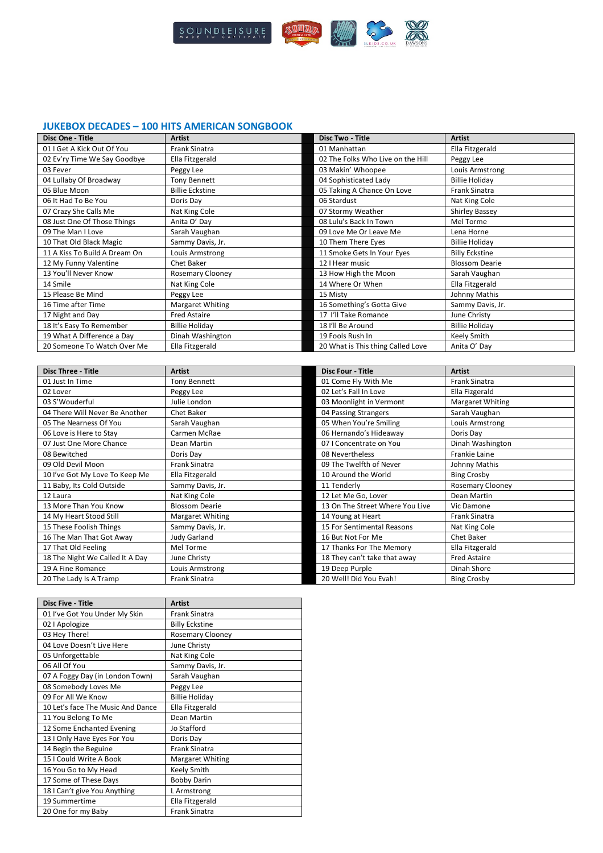

## **JUKEBOX DECADES – 100 HITS AMERICAN SONGBOOK**

| Disc One - Title              | <b>Artist</b>           | <b>Disc Two - Title</b>           | <b>Artist</b>         |
|-------------------------------|-------------------------|-----------------------------------|-----------------------|
| 01 I Get A Kick Out Of You    | <b>Frank Sinatra</b>    | 01 Manhattan                      | Ella Fitzgerald       |
| 02 Ev'ry Time We Say Goodbye  | Ella Fitzgerald         | 02 The Folks Who Live on the Hill | Peggy Lee             |
| 03 Fever                      | Peggy Lee               | 03 Makin' Whoopee                 | Louis Armstrong       |
| 04 Lullaby Of Broadway        | <b>Tony Bennett</b>     | 04 Sophisticated Lady             | <b>Billie Holiday</b> |
| 05 Blue Moon                  | <b>Billie Eckstine</b>  | 05 Taking A Chance On Love        | <b>Frank Sinatra</b>  |
| 06 It Had To Be You           | Doris Dav               | 06 Stardust                       | Nat King Cole         |
| 07 Crazy She Calls Me         | Nat King Cole           | 07 Stormy Weather                 | Shirley Bassey        |
| 08 Just One Of Those Things   | Anita O' Day            | 08 Lulu's Back In Town            | Mel Torme             |
| 09 The Man I Love             | Sarah Vaughan           | 09 Love Me Or Leave Me            | Lena Horne            |
| 10 That Old Black Magic       | Sammy Davis, Jr.        | 10 Them There Eyes                | <b>Billie Holiday</b> |
| 11 A Kiss To Build A Dream On | Louis Armstrong         | 11 Smoke Gets In Your Eyes        | <b>Billy Eckstine</b> |
| 12 My Funny Valentine         | Chet Baker              | 12 I Hear music                   | <b>Blossom Dearie</b> |
| 13 You'll Never Know          | <b>Rosemary Clooney</b> | 13 How High the Moon              | Sarah Vaughan         |
| 14 Smile                      | Nat King Cole           | 14 Where Or When                  | Ella Fitzgerald       |
| 15 Please Be Mind             | Peggy Lee               | 15 Misty                          | Johnny Mathis         |
| 16 Time after Time            | Margaret Whiting        | 16 Something's Gotta Give         | Sammy Davis, Jr.      |
| 17 Night and Day              | Fred Astaire            | 17 I'll Take Romance              | June Christy          |
| 18 It's Easy To Remember      | <b>Billie Holiday</b>   | 18 I'll Be Around                 | <b>Billie Holiday</b> |
| 19 What A Difference a Day    | Dinah Washington        | 19 Fools Rush In                  | Keely Smith           |
| 20 Someone To Watch Over Me   | Ella Fitzgerald         | 20 What is This thing Called Love | Anita O' Day          |

| <b>Disc Three - Title</b>       | <b>Artist</b>         | <b>Disc Four - Title</b>        | <b>Artist</b>        |
|---------------------------------|-----------------------|---------------------------------|----------------------|
| 01 Just In Time                 | <b>Tony Bennett</b>   | 01 Come Fly With Me             | Frank Sinatra        |
| 02 Lover                        | Peggy Lee             | 02 Let's Fall In Love           | Ella Fizgerald       |
| 03 S'Wouderful                  | Julie London          | 03 Moonlight in Vermont         | Margaret Whiting     |
| 04 There Will Never Be Another  | Chet Baker            | 04 Passing Strangers            | Sarah Vaughan        |
| 05 The Nearness Of You          | Sarah Vaughan         | 05 When You're Smiling          | Louis Armstrong      |
| 06 Love is Here to Stay         | Carmen McRae          | 06 Hernando's Hideaway          | Doris Day            |
| 07 Just One More Chance         | Dean Martin           | 07 I Concentrate on You         | Dinah Washington     |
| 08 Bewitched                    | Doris Dav             | 08 Nevertheless                 | <b>Frankie Laine</b> |
| 09 Old Devil Moon               | <b>Frank Sinatra</b>  | 09 The Twelfth of Never         | Johnny Mathis        |
| 10 I've Got My Love To Keep Me  | Ella Fitzgerald       | 10 Around the World             | <b>Bing Crosby</b>   |
| 11 Baby, Its Cold Outside       | Sammy Davis, Jr.      | 11 Tenderly                     | Rosemary Clooney     |
| 12 Laura                        | Nat King Cole         | 12 Let Me Go, Lover             | Dean Martin          |
| 13 More Than You Know           | <b>Blossom Dearie</b> | 13 On The Street Where You Live | Vic Damone           |
| 14 My Heart Stood Still         | Margaret Whiting      | 14 Young at Heart               | <b>Frank Sinatra</b> |
| 15 These Foolish Things         | Sammy Davis, Jr.      | 15 For Sentimental Reasons      | Nat King Cole        |
| 16 The Man That Got Away        | <b>Judy Garland</b>   | 16 But Not For Me               | Chet Baker           |
| 17 That Old Feeling             | Mel Torme             | 17 Thanks For The Memory        | Ella Fitzgerald      |
| 18 The Night We Called It A Day | June Christy          | 18 They can't take that away    | <b>Fred Astaire</b>  |
| 19 A Fine Romance               | Louis Armstrong       | 19 Deep Purple                  | Dinah Shore          |
| 20 The Lady Is A Tramp          | <b>Frank Sinatra</b>  | 20 Well! Did You Evah!          | <b>Bing Crosby</b>   |

| <b>Disc Five - Title</b>          | <b>Artist</b>           |
|-----------------------------------|-------------------------|
| 01 I've Got You Under My Skin     | <b>Frank Sinatra</b>    |
| 02   Apologize                    | <b>Billy Eckstine</b>   |
| 03 Hey There!                     | <b>Rosemary Clooney</b> |
| 04 Love Doesn't Live Here         | June Christy            |
| 05 Unforgettable                  | Nat King Cole           |
| 06 All Of You                     | Sammy Davis, Jr.        |
| 07 A Foggy Day (in London Town)   | Sarah Vaughan           |
| 08 Somebody Loves Me              | Peggy Lee               |
| 09 For All We Know                | <b>Billie Holiday</b>   |
| 10 Let's face The Music And Dance | Ella Fitzgerald         |
| 11 You Belong To Me               | Dean Martin             |
| 12 Some Enchanted Evening         | Jo Stafford             |
| 13 I Only Have Eyes For You       | Doris Day               |
| 14 Begin the Beguine              | <b>Frank Sinatra</b>    |
| 15   Could Write A Book           | <b>Margaret Whiting</b> |
| 16 You Go to My Head              | Keely Smith             |
| 17 Some of These Days             | <b>Bobby Darin</b>      |
| 18   Can't give You Anything      | L Armstrong             |
| 19 Summertime                     | Ella Fitzgerald         |
| 20 One for my Baby                | <b>Frank Sinatra</b>    |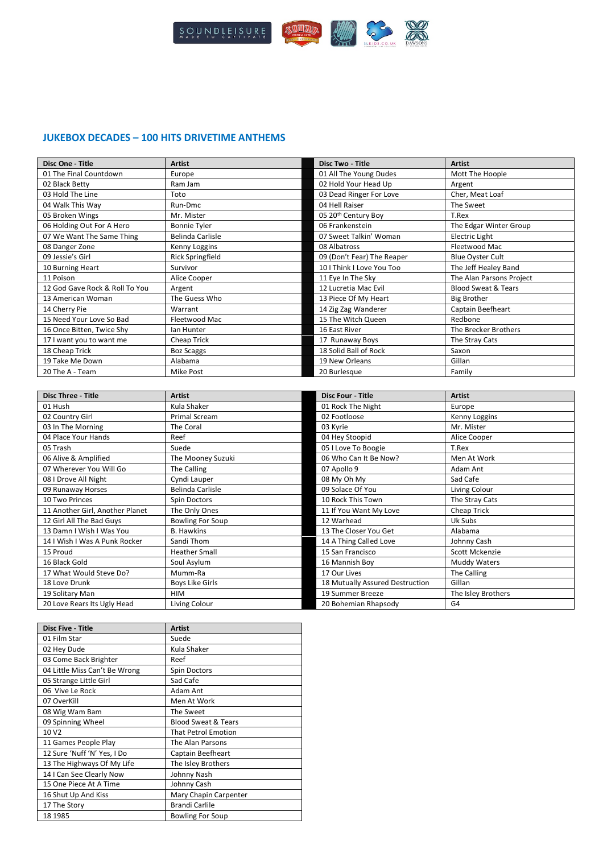

## **JUKEBOX DECADES – 100 HITS DRIVETIME ANTHEMS**

| Disc One - Title               | <b>Artist</b>           | <b>Disc Two - Title</b>         | <b>Artist</b>                  |
|--------------------------------|-------------------------|---------------------------------|--------------------------------|
| 01 The Final Countdown         | Europe                  | 01 All The Young Dudes          | Mott The Hoople                |
| 02 Black Betty                 | Ram Jam                 | 02 Hold Your Head Up            | Argent                         |
| 03 Hold The Line               | Toto                    | 03 Dead Ringer For Love         | Cher, Meat Loaf                |
| 04 Walk This Way               | Run-Dmc                 | 04 Hell Raiser                  | The Sweet                      |
| 05 Broken Wings                | Mr. Mister              | 05 20 <sup>th</sup> Century Boy | T.Rex                          |
| 06 Holding Out For A Hero      | <b>Bonnie Tyler</b>     | 06 Frankenstein                 | The Edgar Winter Group         |
| 07 We Want The Same Thing      | Belinda Carlisle        | 07 Sweet Talkin' Woman          | <b>Electric Light</b>          |
| 08 Danger Zone                 | Kenny Loggins           | 08 Albatross                    | Fleetwood Mac                  |
| 09 Jessie's Girl               | <b>Rick Springfield</b> | 09 (Don't Fear) The Reaper      | <b>Blue Oyster Cult</b>        |
| 10 Burning Heart               | Survivor                | 10   Think   Love You Too       | The Jeff Healey Band           |
| 11 Poison                      | Alice Cooper            | 11 Eye In The Sky               | The Alan Parsons Project       |
| 12 God Gave Rock & Roll To You | Argent                  | 12 Lucretia Mac Evil            | <b>Blood Sweat &amp; Tears</b> |
| 13 American Woman              | The Guess Who           | 13 Piece Of My Heart            | <b>Big Brother</b>             |
| 14 Cherry Pie                  | Warrant                 | 14 Zig Zag Wanderer             | Captain Beefheart              |
| 15 Need Your Love So Bad       | Fleetwood Mac           | 15 The Witch Queen              | Redbone                        |
| 16 Once Bitten, Twice Shy      | lan Hunter              | 16 East River                   | The Brecker Brothers           |
| 17 I want you to want me       | Cheap Trick             | 17 Runaway Boys                 | The Stray Cats                 |
| 18 Cheap Trick                 | <b>Boz Scaggs</b>       | 18 Solid Ball of Rock           | Saxon                          |
| 19 Take Me Down                | Alabama                 | 19 New Orleans                  | Gillan                         |
| 20 The A - Team                | Mike Post               | 20 Burlesque                    | Family                         |

| <b>Disc Three - Title</b>       | <b>Artist</b>           | <b>Disc Four - Title</b>        | <b>Artist</b>      |
|---------------------------------|-------------------------|---------------------------------|--------------------|
| 01 Hush                         | Kula Shaker             | 01 Rock The Night               | Europe             |
| 02 Country Girl                 | Primal Scream           | 02 Footloose                    | Kenny Loggins      |
| 03 In The Morning               | The Coral               | 03 Kyrie                        | Mr. Mister         |
| 04 Place Your Hands             | Reef                    | 04 Hey Stoopid                  | Alice Cooper       |
| 05 Trash                        | Suede                   | 05 I Love To Boogie             | T.Rex              |
| 06 Alive & Amplified            | The Mooney Suzuki       | 06 Who Can It Be Now?           | Men At Work        |
| 07 Wherever You Will Go         | The Calling             | 07 Apollo 9                     | Adam Ant           |
| 08 I Drove All Night            | Cyndi Lauper            | 08 My Oh My                     | Sad Cafe           |
| 09 Runaway Horses               | Belinda Carlisle        | 09 Solace Of You                | Living Colour      |
| 10 Two Princes                  | Spin Doctors            | 10 Rock This Town               | The Stray Cats     |
| 11 Another Girl, Another Planet | The Only Ones           | 11 If You Want My Love          | Cheap Trick        |
| 12 Girl All The Bad Guys        | <b>Bowling For Soup</b> | 12 Warhead                      | Uk Subs            |
| 13 Damn I Wish I Was You        | <b>B.</b> Hawkins       | 13 The Closer You Get           | Alabama            |
| 14   Wish   Was A Punk Rocker   | Sandi Thom              | 14 A Thing Called Love          | Johnny Cash        |
| 15 Proud                        | <b>Heather Small</b>    | 15 San Francisco                | Scott Mckenzie     |
| 16 Black Gold                   | Soul Asylum             | 16 Mannish Boy                  | Muddy Waters       |
| 17 What Would Steve Do?         | Mumm-Ra                 | 17 Our Lives                    | The Calling        |
| 18 Love Drunk                   | <b>Boys Like Girls</b>  | 18 Mutually Assured Destruction | Gillan             |
| 19 Solitary Man                 | HIM                     | 19 Summer Breeze                | The Isley Brothers |
| 20 Love Rears Its Ugly Head     | Living Colour           | 20 Bohemian Rhapsody            | G <sub>4</sub>     |

| <b>Disc Five - Title</b>      | <b>Artist</b>                  |
|-------------------------------|--------------------------------|
| 01 Film Star                  | Suede                          |
| 02 Hey Dude                   | Kula Shaker                    |
| 03 Come Back Brighter         | Reef                           |
| 04 Little Miss Can't Be Wrong | Spin Doctors                   |
| 05 Strange Little Girl        | Sad Cafe                       |
| 06 Vive Le Rock               | Adam Ant                       |
| 07 OverKill                   | Men At Work                    |
| 08 Wig Wam Bam                | The Sweet                      |
| 09 Spinning Wheel             | <b>Blood Sweat &amp; Tears</b> |
| 10 V <sub>2</sub>             | <b>That Petrol Emotion</b>     |
| 11 Games People Play          | The Alan Parsons               |
| 12 Sure 'Nuff 'N' Yes, I Do   | Captain Beefheart              |
| 13 The Highways Of My Life    | The Isley Brothers             |
| 14 I Can See Clearly Now      | Johnny Nash                    |
| 15 One Piece At A Time        | Johnny Cash                    |
| 16 Shut Up And Kiss           | Mary Chapin Carpenter          |
| 17 The Story                  | <b>Brandi Carlile</b>          |
| 18 1985                       | <b>Bowling For Soup</b>        |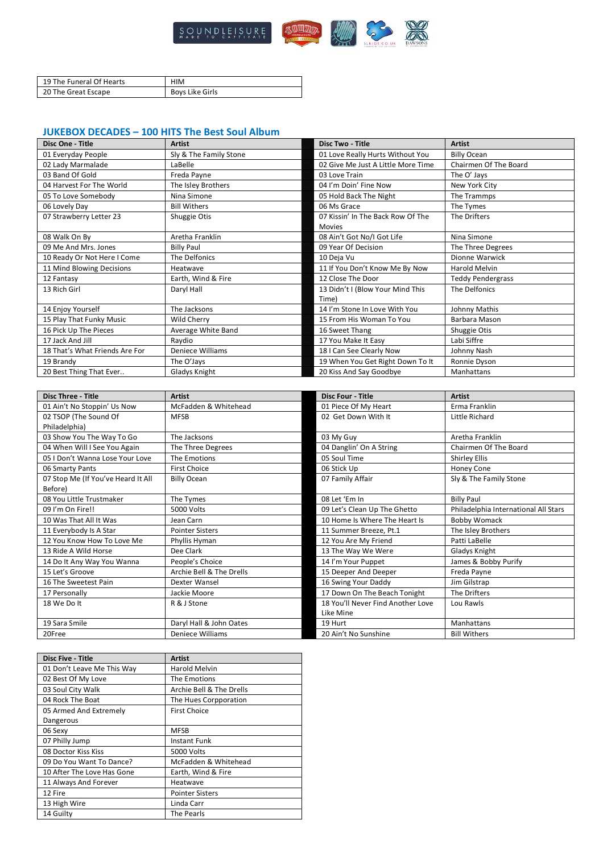

| 19 The Funeral Of Hearts | HIM             |
|--------------------------|-----------------|
| 20 The Great Escape      | Boys Like Girls |

## **JUKEBOX DECADES – 100 HITS The Best Soul Album**

| Disc One - Title               | <b>Artist</b>          | <b>Disc Two - Title</b>            | <b>Artist</b>            |
|--------------------------------|------------------------|------------------------------------|--------------------------|
| 01 Everyday People             | Sly & The Family Stone | 01 Love Really Hurts Without You   | <b>Billy Ocean</b>       |
| 02 Lady Marmalade              | LaBelle                | 02 Give Me Just A Little More Time | Chairmen Of The Board    |
| 03 Band Of Gold                | Freda Payne            | 03 Love Train                      | The O' Jays              |
| 04 Harvest For The World       | The Isley Brothers     | 04 I'm Doin' Fine Now              | New York City            |
| 05 To Love Somebody            | Nina Simone            | 05 Hold Back The Night             | The Trammps              |
| 06 Lovely Day                  | <b>Bill Withers</b>    | 06 Ms Grace                        | The Tymes                |
| 07 Strawberry Letter 23        | Shuggie Otis           | 07 Kissin' In The Back Row Of The  | The Drifters             |
|                                |                        | <b>Movies</b>                      |                          |
| 08 Walk On By                  | Aretha Franklin        | 08 Ain't Got No/I Got Life         | Nina Simone              |
| 09 Me And Mrs. Jones           | <b>Billy Paul</b>      | 09 Year Of Decision                | The Three Degrees        |
| 10 Ready Or Not Here I Come    | The Delfonics          | 10 Deja Vu                         | Dionne Warwick           |
| 11 Mind Blowing Decisions      | Heatwave               | 11 If You Don't Know Me By Now     | Harold Melvin            |
| 12 Fantasy                     | Earth, Wind & Fire     | 12 Close The Door                  | <b>Teddy Pendergrass</b> |
| 13 Rich Girl                   | Daryl Hall             | 13 Didn't I (Blow Your Mind This   | The Delfonics            |
|                                |                        | Time)                              |                          |
| 14 Enjoy Yourself              | The Jacksons           | 14 I'm Stone In Love With You      | Johnny Mathis            |
| 15 Play That Funky Music       | Wild Cherry            | 15 From His Woman To You           | Barbara Mason            |
| 16 Pick Up The Pieces          | Average White Band     | 16 Sweet Thang                     | Shuggie Otis             |
| 17 Jack And Jill               | Raydio                 | 17 You Make It Easy                | Labi Siffre              |
| 18 That's What Friends Are For | Deniece Williams       | 18 I Can See Clearly Now           | Johnny Nash              |
| 19 Brandy                      | The O'Jays             | 19 When You Get Right Down To It   | Ronnie Dyson             |
| 20 Best Thing That Ever        | Gladys Knight          | 20 Kiss And Say Goodbye            | Manhattans               |

| <b>Disc Three - Title</b>          | <b>Artist</b>            | <b>Disc Four - Title</b>          | <b>Artist</b>                        |
|------------------------------------|--------------------------|-----------------------------------|--------------------------------------|
| 01 Ain't No Stoppin' Us Now        | McFadden & Whitehead     | 01 Piece Of My Heart              | Erma Franklin                        |
| 02 TSOP (The Sound Of              | <b>MFSB</b>              | 02 Get Down With It               | Little Richard                       |
| Philadelphia)                      |                          |                                   |                                      |
| 03 Show You The Way To Go          | The Jacksons             | 03 My Guy                         | Aretha Franklin                      |
| 04 When Will I See You Again       | The Three Degrees        | 04 Danglin' On A String           | Chairmen Of The Board                |
| 05   Don't Wanna Lose Your Love    | The Emotions             | 05 Soul Time                      | Shirley Ellis                        |
| 06 Smarty Pants                    | <b>First Choice</b>      | 06 Stick Up                       | <b>Honey Cone</b>                    |
| 07 Stop Me (If You've Heard It All | <b>Billy Ocean</b>       | 07 Family Affair                  | Sly & The Family Stone               |
| Before)                            |                          |                                   |                                      |
| 08 You Little Trustmaker           | The Tymes                | 08 Let 'Em In                     | <b>Billy Paul</b>                    |
| 09 I'm On Fire!!                   | 5000 Volts               | 09 Let's Clean Up The Ghetto      | Philadelphia International All Stars |
| 10 Was That All It Was             | Jean Carn                | 10 Home Is Where The Heart Is     | Bobby Womack                         |
| 11 Everybody Is A Star             | <b>Pointer Sisters</b>   | 11 Summer Breeze, Pt.1            | The Isley Brothers                   |
| 12 You Know How To Love Me         | Phyllis Hyman            | 12 You Are My Friend              | Patti LaBelle                        |
| 13 Ride A Wild Horse               | Dee Clark                | 13 The Way We Were                | Gladys Knight                        |
| 14 Do It Any Way You Wanna         | People's Choice          | 14 I'm Your Puppet                | James & Bobby Purify                 |
| 15 Let's Groove                    | Archie Bell & The Drells | 15 Deeper And Deeper              | Freda Payne                          |
| 16 The Sweetest Pain               | Dexter Wansel            | 16 Swing Your Daddy               | Jim Gilstrap                         |
| 17 Personally                      | Jackie Moore             | 17 Down On The Beach Tonight      | The Drifters                         |
| 18 We Do It                        | R & J Stone              | 18 You'll Never Find Another Love | Lou Rawls                            |
|                                    |                          | Like Mine                         |                                      |
| 19 Sara Smile                      | Daryl Hall & John Oates  | 19 Hurt                           | Manhattans                           |
| 20Free                             | Deniece Williams         | 20 Ain't No Sunshine              | <b>Bill Withers</b>                  |

| <b>Disc Five - Title</b>   | Artist                   |
|----------------------------|--------------------------|
| 01 Don't Leave Me This Way | Harold Melvin            |
| 02 Best Of My Love         | The Emotions             |
| 03 Soul City Walk          | Archie Bell & The Drells |
| 04 Rock The Boat           | The Hues Corpporation    |
| 05 Armed And Extremely     | <b>First Choice</b>      |
| Dangerous                  |                          |
| 06 Sexy                    | <b>MFSB</b>              |
| 07 Philly Jump             | Instant Funk             |
| 08 Doctor Kiss Kiss        | 5000 Volts               |
| 09 Do You Want To Dance?   | McFadden & Whitehead     |
| 10 After The Love Has Gone | Earth, Wind & Fire       |
| 11 Always And Forever      | Heatwave                 |
| 12 Fire                    | <b>Pointer Sisters</b>   |
| 13 High Wire               | Linda Carr               |
| 14 Guilty                  | The Pearls               |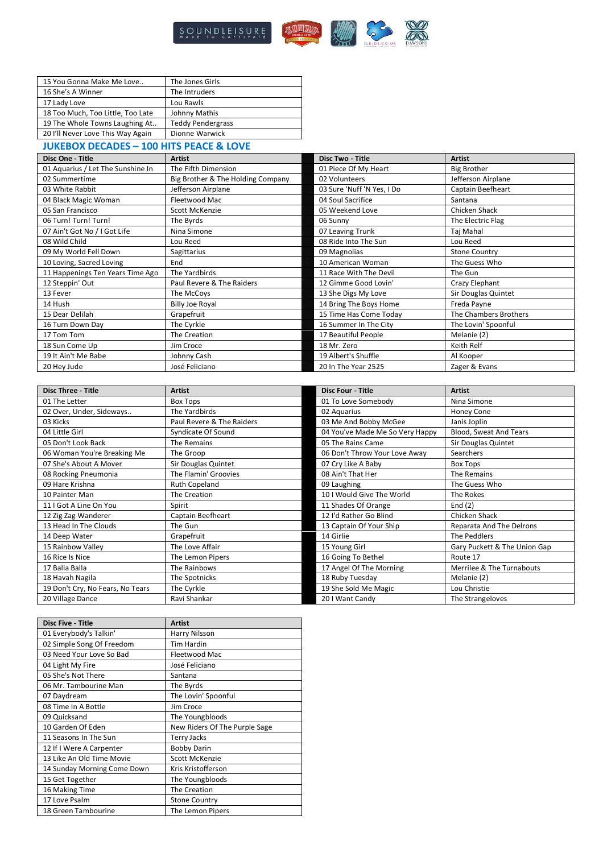

| 15 You Gonna Make Me Love         | The Jones Girls          |
|-----------------------------------|--------------------------|
| 16 She's A Winner                 | The Intruders            |
| 17 Lady Love                      | Lou Rawls                |
| 18 Too Much, Too Little, Too Late | Johnny Mathis            |
| 19 The Whole Towns Laughing At    | <b>Teddy Pendergrass</b> |
| 20 I'll Never Love This Way Again | Dionne Warwick           |
|                                   |                          |

## **JUKEBOX DECADES – 100 HITS PEACE & LOVE**

| Disc One - Title                  | <b>Artist</b>                     | <b>Disc Two - Title</b>    | <b>Artist</b>         |
|-----------------------------------|-----------------------------------|----------------------------|-----------------------|
| 01 Aquarius / Let The Sunshine In | The Fifth Dimension               | 01 Piece Of My Heart       | <b>Big Brother</b>    |
| 02 Summertime                     | Big Brother & The Holding Company | 02 Volunteers              | Jefferson Airplane    |
| 03 White Rabbit                   | Jefferson Airplane                | 03 Sure 'Nuff 'N Yes, I Do | Captain Beefheart     |
| 04 Black Magic Woman              | Fleetwood Mac                     | 04 Soul Sacrifice          | Santana               |
| 05 San Francisco                  | Scott McKenzie                    | 05 Weekend Love            | Chicken Shack         |
| 06 Turn! Turn! Turn!              | The Byrds                         | 06 Sunny                   | The Electric Flag     |
| 07 Ain't Got No / I Got Life      | Nina Simone                       | 07 Leaving Trunk           | Taj Mahal             |
| 08 Wild Child                     | Lou Reed                          | 08 Ride Into The Sun       | Lou Reed              |
| 09 My World Fell Down             | Sagittarius                       | 09 Magnolias               | <b>Stone Country</b>  |
| 10 Loving, Sacred Loving          | End                               | 10 American Woman          | The Guess Who         |
| 11 Happenings Ten Years Time Ago  | The Yardbirds                     | 11 Race With The Devil     | The Gun               |
| 12 Steppin' Out                   | Paul Revere & The Raiders         | 12 Gimme Good Lovin'       | Crazy Elephant        |
| 13 Fever                          | The McCoys                        | 13 She Digs My Love        | Sir Douglas Quintet   |
| 14 Hush                           | <b>Billy Joe Royal</b>            | 14 Bring The Boys Home     | Freda Payne           |
| 15 Dear Delilah                   | Grapefruit                        | 15 Time Has Come Today     | The Chambers Brothers |
| 16 Turn Down Day                  | The Cyrkle                        | 16 Summer In The City      | The Lovin' Spoonful   |
| 17 Tom Tom                        | The Creation                      | 17 Beautiful People        | Melanie (2)           |
| 18 Sun Come Up                    | Jim Croce                         | 18 Mr. Zero                | Keith Relf            |
| 19 It Ain't Me Babe               | Johnny Cash                       | 19 Albert's Shuffle        | Al Kooper             |
| 20 Hey Jude                       | José Feliciano                    | 20 In The Year 2525        | Zager & Evans         |

| <b>Disc Three - Title</b>        | <b>Artist</b>             | <b>Disc Four - Title</b>        | <b>Artist</b>                |
|----------------------------------|---------------------------|---------------------------------|------------------------------|
| 01 The Letter                    | Box Tops                  | 01 To Love Somebody             | Nina Simone                  |
| 02 Over, Under, Sideways         | The Yardbirds             | 02 Aquarius                     | <b>Honey Cone</b>            |
| 03 Kicks                         | Paul Revere & The Raiders | 03 Me And Bobby McGee           | Janis Joplin                 |
| 04 Little Girl                   | Syndicate Of Sound        | 04 You've Made Me So Very Happy | Blood, Sweat And Tears       |
| 05 Don't Look Back               | The Remains               | 05 The Rains Came               | Sir Douglas Quintet          |
| 06 Woman You're Breaking Me      | The Groop                 | 06 Don't Throw Your Love Away   | Searchers                    |
| 07 She's About A Mover           | Sir Douglas Quintet       | 07 Cry Like A Baby              | Box Tops                     |
| 08 Rocking Pneumonia             | The Flamin' Groovies      | 08 Ain't That Her               | The Remains                  |
| 09 Hare Krishna                  | <b>Ruth Copeland</b>      | 09 Laughing                     | The Guess Who                |
| 10 Painter Man                   | The Creation              | 10   Would Give The World       | The Rokes                    |
| 11   Got A Line On You           | Spirit                    | 11 Shades Of Orange             | End $(2)$                    |
| 12 Zig Zag Wanderer              | Captain Beefheart         | 12 I'd Rather Go Blind          | Chicken Shack                |
| 13 Head In The Clouds            | The Gun                   | 13 Captain Of Your Ship         | Reparata And The Delrons     |
| 14 Deep Water                    | Grapefruit                | 14 Girlie                       | The Peddlers                 |
| 15 Rainbow Valley                | The Love Affair           | 15 Young Girl                   | Gary Puckett & The Union Gap |
| 16 Rice Is Nice                  | The Lemon Pipers          | 16 Going To Bethel              | Route 17                     |
| 17 Balla Balla                   | The Rainbows              | 17 Angel Of The Morning         | Merrilee & The Turnabouts    |
| 18 Havah Nagila                  | The Spotnicks             | 18 Ruby Tuesday                 | Melanie (2)                  |
| 19 Don't Cry, No Fears, No Tears | The Cyrkle                | 19 She Sold Me Magic            | Lou Christie                 |
| 20 Village Dance                 | Ravi Shankar              | 20 I Want Candy                 | The Strangeloves             |

| <b>Disc Five - Title</b>    | <b>Artist</b>                 |
|-----------------------------|-------------------------------|
| 01 Everybody's Talkin'      | Harry Nilsson                 |
| 02 Simple Song Of Freedom   | <b>Tim Hardin</b>             |
| 03 Need Your Love So Bad    | Fleetwood Mac                 |
| 04 Light My Fire            | José Feliciano                |
| 05 She's Not There          | Santana                       |
| 06 Mr. Tambourine Man       | The Byrds                     |
| 07 Daydream                 | The Lovin' Spoonful           |
| 08 Time In A Bottle         | Jim Croce                     |
| 09 Quicksand                | The Youngbloods               |
| 10 Garden Of Eden           | New Riders Of The Purple Sage |
| 11 Seasons In The Sun       | <b>Terry Jacks</b>            |
| 12 If I Were A Carpenter    | <b>Bobby Darin</b>            |
| 13 Like An Old Time Movie   | Scott McKenzie                |
| 14 Sunday Morning Come Down | Kris Kristofferson            |
| 15 Get Together             | The Youngbloods               |
| 16 Making Time              | The Creation                  |
| 17 Love Psalm               | <b>Stone Country</b>          |
| 18 Green Tambourine         | The Lemon Pipers              |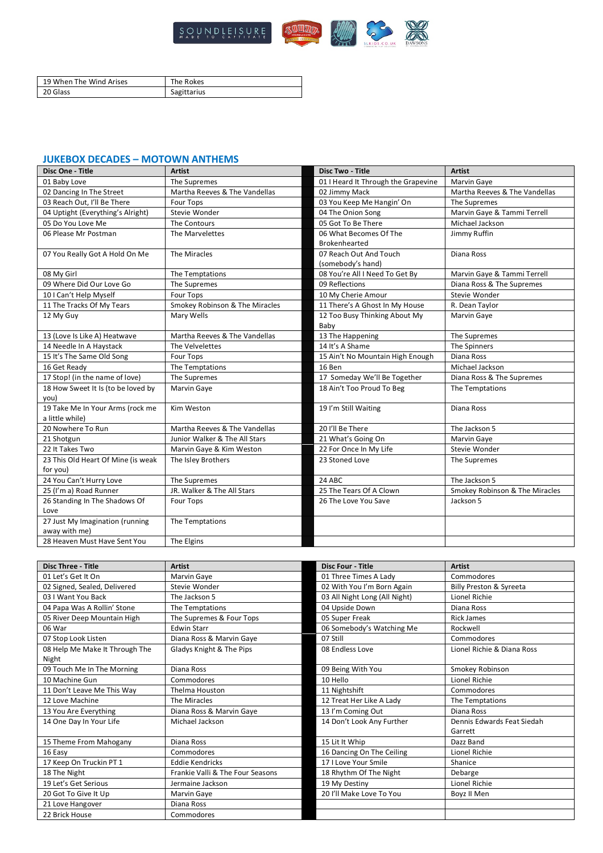

| 19 When The Wind Arises | The Rokes   |
|-------------------------|-------------|
| 20 Glass                | Sagittarius |

## **JUKEBOX DECADES – MOTOWN ANTHEMS**

| Disc One - Title                   | <b>Artist</b>                  | <b>Disc Two - Title</b>             | <b>Artist</b>                  |
|------------------------------------|--------------------------------|-------------------------------------|--------------------------------|
| 01 Baby Love                       | The Supremes                   | 01 I Heard It Through the Grapevine | <b>Marvin Gaye</b>             |
| 02 Dancing In The Street           | Martha Reeves & The Vandellas  | 02 Jimmy Mack                       | Martha Reeves & The Vandellas  |
| 03 Reach Out, I'll Be There        | <b>Four Tops</b>               | 03 You Keep Me Hangin' On           | The Supremes                   |
| 04 Uptight (Everything's Alright)  | Stevie Wonder                  | 04 The Onion Song                   | Marvin Gaye & Tammi Terrell    |
| 05 Do You Love Me                  | The Contours                   | 05 Got To Be There                  | Michael Jackson                |
| 06 Please Mr Postman               | The Marvelettes                | 06 What Becomes Of The              | Jimmy Ruffin                   |
|                                    |                                | <b>Brokenhearted</b>                |                                |
| 07 You Really Got A Hold On Me     | The Miracles                   | 07 Reach Out And Touch              | Diana Ross                     |
|                                    |                                | (somebody's hand)                   |                                |
| 08 My Girl                         | The Temptations                | 08 You're All I Need To Get By      | Marvin Gaye & Tammi Terrell    |
| 09 Where Did Our Love Go           | The Supremes                   | 09 Reflections                      | Diana Ross & The Supremes      |
| 10 I Can't Help Myself             | Four Tops                      | 10 My Cherie Amour                  | Stevie Wonder                  |
| 11 The Tracks Of My Tears          | Smokey Robinson & The Miracles | 11 There's A Ghost In My House      | R. Dean Taylor                 |
| 12 My Guy                          | Mary Wells                     | 12 Too Busy Thinking About My       | Marvin Gaye                    |
|                                    |                                | Baby                                |                                |
| 13 (Love Is Like A) Heatwave       | Martha Reeves & The Vandellas  | 13 The Happening                    | The Supremes                   |
| 14 Needle In A Haystack            | The Velvelettes                | 14 It's A Shame                     | The Spinners                   |
| 15 It's The Same Old Song          | Four Tops                      | 15 Ain't No Mountain High Enough    | Diana Ross                     |
| 16 Get Ready                       | The Temptations                | 16 Ben                              | Michael Jackson                |
| 17 Stop! (in the name of love)     | The Supremes                   | 17 Someday We'll Be Together        | Diana Ross & The Supremes      |
| 18 How Sweet It Is (to be loved by | Marvin Gaye                    | 18 Ain't Too Proud To Beg           | The Temptations                |
| you)                               |                                |                                     |                                |
| 19 Take Me In Your Arms (rock me   | Kim Weston                     | 19 I'm Still Waiting                | Diana Ross                     |
| a little while)                    |                                |                                     |                                |
| 20 Nowhere To Run                  | Martha Reeves & The Vandellas  | 20 I'll Be There                    | The Jackson 5                  |
| 21 Shotgun                         | Junior Walker & The All Stars  | 21 What's Going On                  | <b>Marvin Gaye</b>             |
| 22 It Takes Two                    | Marvin Gaye & Kim Weston       | 22 For Once In My Life              | Stevie Wonder                  |
| 23 This Old Heart Of Mine (is weak | The Isley Brothers             | 23 Stoned Love                      | The Supremes                   |
| for you)                           |                                |                                     |                                |
| 24 You Can't Hurry Love            | The Supremes                   | 24 ABC                              | The Jackson 5                  |
| 25 (I'm a) Road Runner             | JR. Walker & The All Stars     | 25 The Tears Of A Clown             | Smokey Robinson & The Miracles |
| 26 Standing In The Shadows Of      | Four Tops                      | 26 The Love You Save                | Jackson 5                      |
| Love                               |                                |                                     |                                |
| 27 Just My Imagination (running    | The Temptations                |                                     |                                |
| away with me)                      |                                |                                     |                                |
| 28 Heaven Must Have Sent You       | The Elgins                     |                                     |                                |

| <b>Disc Three - Title</b>      | <b>Artist</b>                    | <b>Disc Four - Title</b>      | <b>Artist</b>              |
|--------------------------------|----------------------------------|-------------------------------|----------------------------|
| 01 Let's Get It On             | Marvin Gaye                      | 01 Three Times A Lady         | Commodores                 |
| 02 Signed, Sealed, Delivered   | Stevie Wonder                    | 02 With You I'm Born Again    | Billy Preston & Syreeta    |
| 03   Want You Back             | The Jackson 5                    | 03 All Night Long (All Night) | Lionel Richie              |
| 04 Papa Was A Rollin' Stone    | The Temptations                  | 04 Upside Down                | Diana Ross                 |
| 05 River Deep Mountain High    | The Supremes & Four Tops         | 05 Super Freak                | <b>Rick James</b>          |
| 06 War                         | <b>Edwin Starr</b>               | 06 Somebody's Watching Me     | Rockwell                   |
| 07 Stop Look Listen            | Diana Ross & Marvin Gaye         | 07 Still                      | Commodores                 |
| 08 Help Me Make It Through The | Gladys Knight & The Pips         | 08 Endless Love               | Lionel Richie & Diana Ross |
| Night                          |                                  |                               |                            |
| 09 Touch Me In The Morning     | Diana Ross                       | 09 Being With You             | Smokey Robinson            |
| 10 Machine Gun                 | Commodores                       | 10 Hello                      | Lionel Richie              |
| 11 Don't Leave Me This Way     | Thelma Houston                   | 11 Nightshift                 | Commodores                 |
| 12 Love Machine                | The Miracles                     | 12 Treat Her Like A Lady      | The Temptations            |
| 13 You Are Everything          | Diana Ross & Marvin Gaye         | 13 I'm Coming Out             | Diana Ross                 |
| 14 One Day In Your Life        | Michael Jackson                  | 14 Don't Look Any Further     | Dennis Edwards Feat Siedah |
|                                |                                  |                               | Garrett                    |
| 15 Theme From Mahogany         | Diana Ross                       | 15 Lit It Whip                | Dazz Band                  |
| 16 Easy                        | Commodores                       | 16 Dancing On The Ceiling     | Lionel Richie              |
| 17 Keep On Truckin PT 1        | <b>Eddie Kendricks</b>           | 17 I Love Your Smile          | Shanice                    |
| 18 The Night                   | Frankie Valli & The Four Seasons | 18 Rhythm Of The Night        | Debarge                    |
| 19 Let's Get Serious           | Jermaine Jackson                 | 19 My Destiny                 | Lionel Richie              |
| 20 Got To Give It Up           | Marvin Gaye                      | 20 I'll Make Love To You      | Boyz II Men                |
| 21 Love Hangover               | Diana Ross                       |                               |                            |
| 22 Brick House                 | Commodores                       |                               |                            |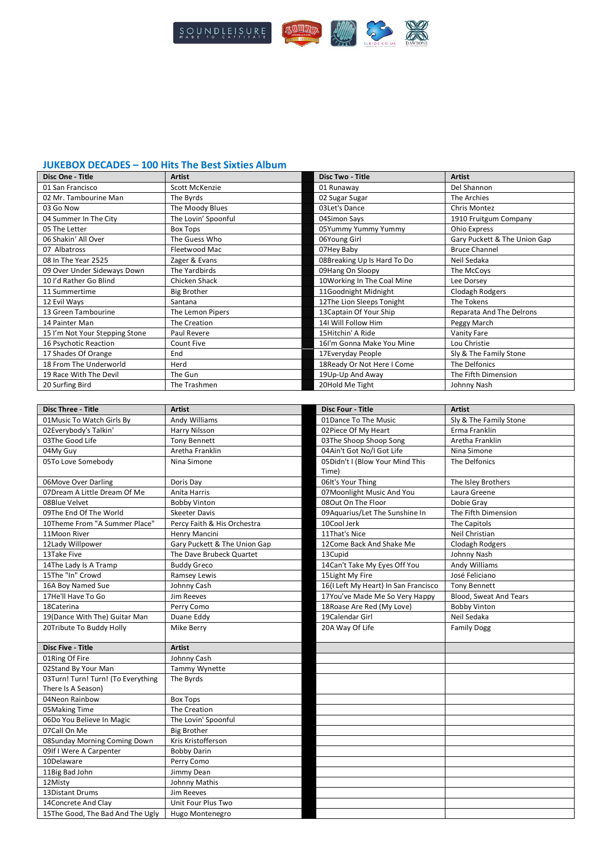

**Disc One - Title Artist Disc Two - Title Artist**

#### **JUKEBOX DECADES – 100 Hits The Best Sixties Album**

| 01 San Francisco                   | Scott McKenzie               | 01 Runaway                               | Del Shannon                  |
|------------------------------------|------------------------------|------------------------------------------|------------------------------|
| 02 Mr. Tambourine Man              | The Byrds                    | 02 Sugar Sugar                           | The Archies                  |
| 03 Go Now                          | The Moody Blues              | 03Let's Dance                            | Chris Montez                 |
| 04 Summer In The City              | The Lovin' Spoonful          | 04Simon Says                             | 1910 Fruitgum Company        |
| 05 The Letter                      | <b>Box Tops</b>              | 05Yummy Yummy Yummy                      | Ohio Express                 |
| 06 Shakin' All Over                | The Guess Who                | 06Young Girl                             | Gary Puckett & The Union Gap |
| 07 Albatross                       | Fleetwood Mac                | 07Hey Baby                               | <b>Bruce Channel</b>         |
| 08 In The Year 2525                | Zager & Evans                | 08Breaking Up Is Hard To Do              | Neil Sedaka                  |
| 09 Over Under Sideways Down        | The Yardbirds                | 09Hang On Sloopy                         | The McCoys                   |
| 10 I'd Rather Go Blind             | Chicken Shack                | 10Working In The Coal Mine               | Lee Dorsey                   |
| 11 Summertime                      | <b>Big Brother</b>           | 11Goodnight Midnight                     | Clodagh Rodgers              |
| 12 Evil Ways                       | Santana                      | 12The Lion Sleeps Tonight                | The Tokens                   |
| 13 Green Tambourine                | The Lemon Pipers             | 13 Captain Of Your Ship                  | Reparata And The Delrons     |
| 14 Painter Man                     | The Creation                 | 14I Will Follow Him                      | Peggy March                  |
| 15 I'm Not Your Stepping Stone     | Paul Revere                  | 15Hitchin' A Ride                        | <b>Vanity Fare</b>           |
| 16 Psychotic Reaction              | Count Five                   | 16I'm Gonna Make You Mine                | Lou Christie                 |
| 17 Shades Of Orange                | End                          | 17Everyday People                        | Sly & The Family Stone       |
| 18 From The Underworld             | Herd                         | 18 Ready Or Not Here I Come              | The Delfonics                |
| 19 Race With The Devil             | The Gun                      | 19Up-Up And Away                         | The Fifth Dimension          |
| 20 Surfing Bird                    | The Trashmen                 | 20Hold Me Tight                          | Johnny Nash                  |
|                                    |                              |                                          |                              |
|                                    |                              |                                          |                              |
| <b>Disc Three - Title</b>          | <b>Artist</b>                | <b>Disc Four - Title</b>                 | <b>Artist</b>                |
| 01 Music To Watch Girls By         | Andy Williams                | 01Dance To The Music                     | Sly & The Family Stone       |
| 02Everybody's Talkin'              | Harry Nilsson                | 02Piece Of My Heart                      | Erma Franklin                |
| 03The Good Life                    | <b>Tony Bennett</b>          | 03The Shoop Shoop Song                   | Aretha Franklin              |
| 04My Guy                           | Aretha Franklin              | 04Ain't Got No/I Got Life                | Nina Simone                  |
| 05To Love Somebody                 | Nina Simone                  | 05Didn't I (Blow Your Mind This<br>Time) | The Delfonics                |
| 06Move Over Darling                | Doris Day                    | 06It's Your Thing                        | The Isley Brothers           |
| 07Dream A Little Dream Of Me       | Anita Harris                 | 07Moonlight Music And You                | Laura Greene                 |
| 08Blue Velvet                      | <b>Bobby Vinton</b>          | 08Out On The Floor                       | Dobie Gray                   |
| 09The End Of The World             | <b>Skeeter Davis</b>         | 09Aquarius/Let The Sunshine In           | The Fifth Dimension          |
| 10Theme From "A Summer Place"      | Percy Faith & His Orchestra  | 10Cool Jerk                              | The Capitols                 |
| 11Moon River                       | Henry Mancini                | 11That's Nice                            | Neil Christian               |
| 12Lady Willpower                   | Gary Puckett & The Union Gap | 12Come Back And Shake Me                 | Clodagh Rodgers              |
| 13Take Five                        | The Dave Brubeck Quartet     | 13Cupid                                  | Johnny Nash                  |
| 14The Lady Is A Tramp              | <b>Buddy Greco</b>           | 14Can't Take My Eyes Off You             | Andy Williams                |
| 15The "In" Crowd                   | Ramsey Lewis                 | 15Light My Fire                          | José Feliciano               |
| 16A Boy Named Sue                  | Johnny Cash                  | 16(I Left My Heart) In San Francisco     | <b>Tony Bennett</b>          |
| 17He'll Have To Go                 | Jim Reeves                   | 17You've Made Me So Very Happy           | Blood, Sweat And Tears       |
| 18Caterina                         | Perry Como                   | 18 Roase Are Red (My Love)               | <b>Bobby Vinton</b>          |
| 19(Dance With The) Guitar Man      | Duane Eddy                   | 19Calendar Girl                          | Neil Sedaka                  |
| 20Tribute To Buddy Holly           | Mike Berry                   | 20A Way Of Life                          | <b>Family Dogg</b>           |
|                                    |                              |                                          |                              |
| <b>Disc Five - Title</b>           | <b>Artist</b>                |                                          |                              |
| 01Ring Of Fire                     | Johnny Cash                  |                                          |                              |
| 02Stand By Your Man                | Tammy Wynette                |                                          |                              |
| 03Turn! Turn! Turn! (To Everything | The Byrds                    |                                          |                              |
| There Is A Season)                 |                              |                                          |                              |
| 04Neon Rainbow                     | <b>Box Tops</b>              |                                          |                              |
| 05 Making Time                     | The Creation                 |                                          |                              |
| 06Do You Believe In Magic          | The Lovin' Spoonful          |                                          |                              |
| 07Call On Me                       | <b>Big Brother</b>           |                                          |                              |
| 08Sunday Morning Coming Down       | Kris Kristofferson           |                                          |                              |
| 09If I Were A Carpenter            | <b>Bobby Darin</b>           |                                          |                              |
| 10Delaware                         |                              |                                          |                              |
|                                    | Perry Como                   |                                          |                              |
| 11Big Bad John                     | Jimmy Dean                   |                                          |                              |
| 12Misty                            | Johnny Mathis                |                                          |                              |
| 13Distant Drums                    | Jim Reeves                   |                                          |                              |
| 14Concrete And Clay                | Unit Four Plus Two           |                                          |                              |
| 15The Good, The Bad And The Ugly   | Hugo Montenegro              |                                          |                              |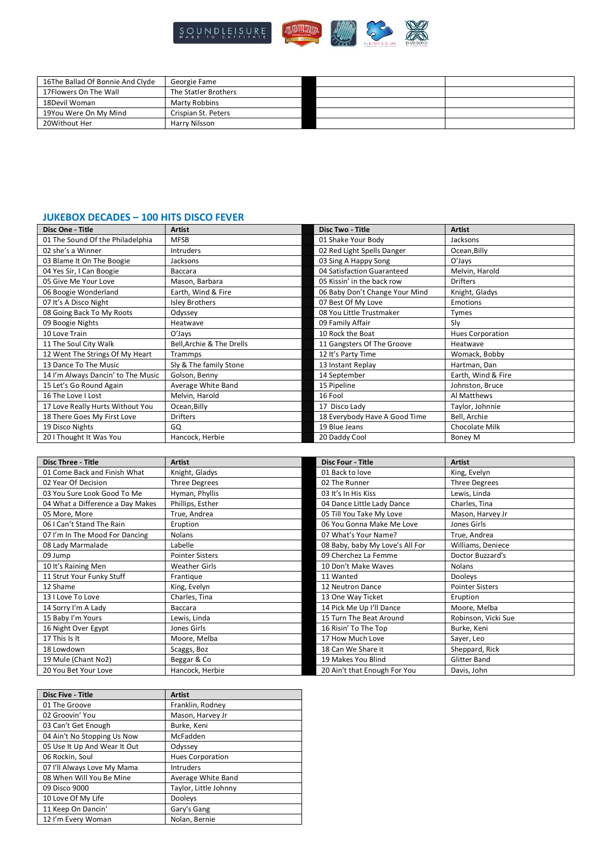

| 16The Ballad Of Bonnie And Clyde | Georgie Fame         |  |
|----------------------------------|----------------------|--|
| 17Flowers On The Wall            | The Statler Brothers |  |
| 18Devil Woman                    | Marty Robbins        |  |
| 19You Were On My Mind            | Crispian St. Peters  |  |
| 20Without Her                    | Harry Nilsson        |  |

## **JUKEBOX DECADES – 100 HITS DISCO FEVER**

| Disc One - Title                   | <b>Artist</b>             | <b>Disc Two - Title</b>        | <b>Artist</b>           |
|------------------------------------|---------------------------|--------------------------------|-------------------------|
| 01 The Sound Of the Philadelphia   | <b>MFSB</b>               | 01 Shake Your Body             | Jacksons                |
| 02 she's a Winner                  | <b>Intruders</b>          | 02 Red Light Spells Danger     | Ocean, Billy            |
| 03 Blame It On The Boogie          | Jacksons                  | 03 Sing A Happy Song           | O'Jays                  |
| 04 Yes Sir, I Can Boogie           | Baccara                   | 04 Satisfaction Guaranteed     | Melvin, Harold          |
| 05 Give Me Your Love               | Mason, Barbara            | 05 Kissin' in the back row     | <b>Drifters</b>         |
| 06 Boogie Wonderland               | Earth, Wind & Fire        | 06 Baby Don't Change Your Mind | Knight, Gladys          |
| 07 It's A Disco Night              | <b>Isley Brothers</b>     | 07 Best Of My Love             | Emotions                |
| 08 Going Back To My Roots          | Odyssey                   | 08 You Little Trustmaker       | Tymes                   |
| 09 Boogie Nights                   | Heatwave                  | 09 Family Affair               | Sly                     |
| 10 Love Train                      | O'Jays                    | 10 Rock the Boat               | <b>Hues Corporation</b> |
| 11 The Soul City Walk              | Bell, Archie & The Drells | 11 Gangsters Of The Groove     | Heatwave                |
| 12 Went The Strings Of My Heart    | Trammps                   | 12 It's Party Time             | Womack, Bobby           |
| 13 Dance To The Music              | Sly & The family Stone    | 13 Instant Replay              | Hartman, Dan            |
| 14 I'm Always Dancin' to The Music | Golson, Benny             | 14 September                   | Earth, Wind & Fire      |
| 15 Let's Go Round Again            | Average White Band        | 15 Pipeline                    | Johnston, Bruce         |
| 16 The Love I Lost                 | Melvin, Harold            | 16 Fool                        | Al Matthews             |
| 17 Love Really Hurts Without You   | Ocean, Billy              | 17 Disco Lady                  | Taylor, Johnnie         |
| 18 There Goes My First Love        | <b>Drifters</b>           | 18 Everybody Have A Good Time  | Bell, Archie            |
| 19 Disco Nights                    | GQ                        | 19 Blue Jeans                  | Chocolate Milk          |
| 20 I Thought It Was You            | Hancock, Herbie           | 20 Daddy Cool                  | Boney M                 |

| <b>Disc Three - Title</b>        | <b>Artist</b>          | <b>Disc Four - Title</b>        | <b>Artist</b>          |
|----------------------------------|------------------------|---------------------------------|------------------------|
| 01 Come Back and Finish What     | Knight, Gladys         | 01 Back to love                 | King, Evelyn           |
| 02 Year Of Decision              | <b>Three Degrees</b>   | 02 The Runner                   | <b>Three Degrees</b>   |
| 03 You Sure Look Good To Me      | Hyman, Phyllis         | 03 It's In His Kiss             | Lewis, Linda           |
| 04 What a Difference a Day Makes | Phillips, Esther       | 04 Dance Little Lady Dance      | Charles, Tina          |
| 05 More, More                    | True, Andrea           | 05 Till You Take My Love        | Mason, Harvey Jr       |
| 06 I Can't Stand The Rain        | Eruption               | 06 You Gonna Make Me Love       | Jones Girls            |
| 07 I'm In The Mood For Dancing   | <b>Nolans</b>          | 07 What's Your Name?            | True, Andrea           |
| 08 Lady Marmalade                | Labelle                | 08 Baby, baby My Love's All For | Williams, Deniece      |
| 09 Jump                          | <b>Pointer Sisters</b> | 09 Cherchez La Femme            | Doctor Buzzard's       |
| 10 It's Raining Men              | <b>Weather Girls</b>   | 10 Don't Make Waves             | Nolans                 |
| 11 Strut Your Funky Stuff        | Frantique              | 11 Wanted                       | <b>Dooleys</b>         |
| 12 Shame                         | King, Evelyn           | 12 Neutron Dance                | <b>Pointer Sisters</b> |
| 13 I Love To Love                | Charles, Tina          | 13 One Way Ticket               | Eruption               |
| 14 Sorry I'm A Lady              | Baccara                | 14 Pick Me Up I'll Dance        | Moore, Melba           |
| 15 Baby I'm Yours                | Lewis, Linda           | 15 Turn The Beat Around         | Robinson, Vicki Sue    |
| 16 Night Over Egypt              | Jones Girls            | 16 Risin' To The Top            | Burke, Keni            |
| 17 This Is It                    | Moore, Melba           | 17 How Much Love                | Sayer, Leo             |
| 18 Lowdown                       | Scaggs, Boz            | 18 Can We Share it              | Sheppard, Rick         |
| 19 Mule (Chant No2)              | Beggar & Co            | 19 Makes You Blind              | <b>Glitter Band</b>    |
| 20 You Bet Your Love             | Hancock, Herbie        | 20 Ain't that Enough For You    | Davis, John            |

| <b>Disc Five - Title</b>     | <b>Artist</b>           |
|------------------------------|-------------------------|
| 01 The Groove                | Franklin, Rodney        |
| 02 Groovin' You              | Mason, Harvey Jr        |
| 03 Can't Get Enough          | Burke, Keni             |
| 04 Ain't No Stopping Us Now  | McFadden                |
| 05 Use It Up And Wear It Out | Odyssey                 |
| 06 Rockin, Soul              | <b>Hues Corporation</b> |
| 07 I'll Always Love My Mama  | <b>Intruders</b>        |
| 08 When Will You Be Mine     | Average White Band      |
| 09 Disco 9000                | Taylor, Little Johnny   |
| 10 Love Of My Life           | Dooleys                 |
| 11 Keep On Dancin'           | Gary's Gang             |
| 12 I'm Every Woman           | Nolan, Bernie           |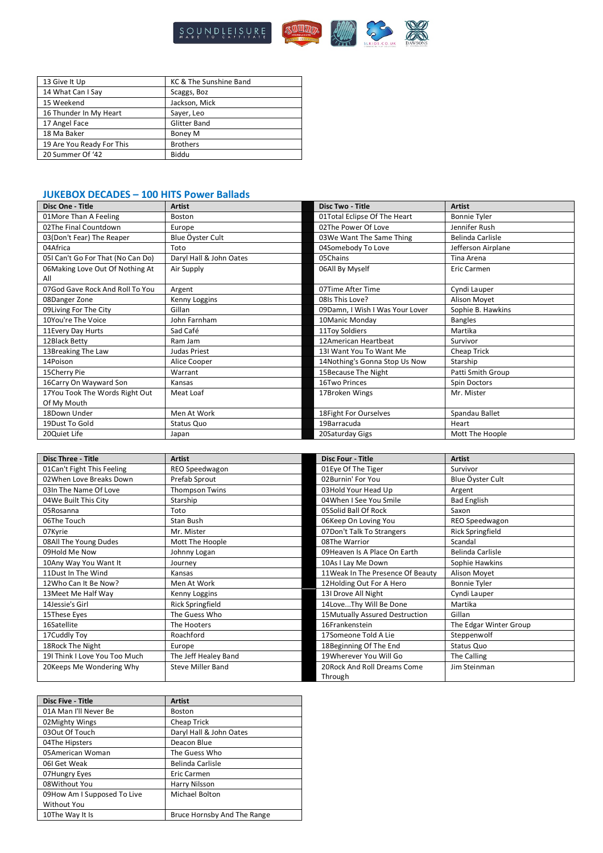

| 13 Give It Up             | KC & The Sunshine Band |
|---------------------------|------------------------|
| 14 What Can I Say         | Scaggs, Boz            |
| 15 Weekend                | Jackson, Mick          |
| 16 Thunder In My Heart    | Sayer, Leo             |
| 17 Angel Face             | <b>Glitter Band</b>    |
| 18 Ma Baker               | Boney M                |
| 19 Are You Ready For This | <b>Brothers</b>        |
| 20 Summer Of '42          | Biddu                  |

## **JUKEBOX DECADES – 100 HITS Power Ballads**

| Disc One - Title                  | <b>Artist</b>           | Disc Two - Title                | <b>Artist</b>           |
|-----------------------------------|-------------------------|---------------------------------|-------------------------|
| 01More Than A Feeling             | Boston                  | 01Total Eclipse Of The Heart    | <b>Bonnie Tyler</b>     |
| 02The Final Countdown             | Europe                  | 02The Power Of Love             | Jennifer Rush           |
| 03(Don't Fear) The Reaper         | Blue Öyster Cult        | 03We Want The Same Thing        | <b>Belinda Carlisle</b> |
| 04Africa                          | Toto                    | 04Somebody To Love              | Jefferson Airplane      |
| 05I Can't Go For That (No Can Do) | Daryl Hall & John Oates | 05Chains                        | Tina Arena              |
| 06Making Love Out Of Nothing At   | Air Supply              | 06All By Myself                 | Eric Carmen             |
| All                               |                         |                                 |                         |
| 07God Gave Rock And Roll To You   | Argent                  | 07Time After Time               | Cyndi Lauper            |
| 08Danger Zone                     | Kenny Loggins           | 08ls This Love?                 | Alison Moyet            |
| 09 Living For The City            | Gillan                  | 09Damn, I Wish I Was Your Lover | Sophie B. Hawkins       |
| 10You're The Voice                | John Farnham            | 10Manic Monday                  | <b>Bangles</b>          |
| 11 Every Day Hurts                | Sad Café                | 11Toy Soldiers                  | Martika                 |
| 12Black Betty                     | Ram Jam                 | 12American Heartbeat            | Survivor                |
| 13Breaking The Law                | Judas Priest            | 131 Want You To Want Me         | Cheap Trick             |
| 14Poison                          | Alice Cooper            | 14Nothing's Gonna Stop Us Now   | Starship                |
| 15Cherry Pie                      | Warrant                 | 15Because The Night             | Patti Smith Group       |
| 16Carry On Wayward Son            | Kansas                  | 16Two Princes                   | Spin Doctors            |
| 17You Took The Words Right Out    | Meat Loaf               | 17Broken Wings                  | Mr. Mister              |
| Of My Mouth                       |                         |                                 |                         |
| 18Down Under                      | Men At Work             | 18Fight For Ourselves           | Spandau Ballet          |
| 19Dust To Gold                    | Status Quo              | 19Barracuda                     | Heart                   |
| 20Quiet Life                      | Japan                   | 20Saturday Gigs                 | Mott The Hoople         |

| <b>Disc Three - Title</b>     | <b>Artist</b>            | <b>Disc Four - Title</b>          | <b>Artist</b>           |
|-------------------------------|--------------------------|-----------------------------------|-------------------------|
| 01Can't Fight This Feeling    | REO Speedwagon           | 01Eye Of The Tiger                | Survivor                |
| 02 When Love Breaks Down      | Prefab Sprout            | 02Burnin' For You                 | Blue Öyster Cult        |
| 03In The Name Of Love         | <b>Thompson Twins</b>    | 03Hold Your Head Up               | Argent                  |
| 04We Built This City          | Starship                 | 04 When I See You Smile           | <b>Bad English</b>      |
| 05Rosanna                     | Toto                     | 05Solid Ball Of Rock              | Saxon                   |
| 06The Touch                   | Stan Bush                | 06Keep On Loving You              | REO Speedwagon          |
| 07Kyrie                       | Mr. Mister               | 07Don't Talk To Strangers         | <b>Rick Springfield</b> |
| 08All The Young Dudes         | Mott The Hoople          | 08The Warrior                     | Scandal                 |
| 09Hold Me Now                 | Johnny Logan             | 09Heaven Is A Place On Earth      | Belinda Carlisle        |
| 10Any Way You Want It         | Journey                  | 10As I Lay Me Down                | Sophie Hawkins          |
| 11Dust In The Wind            | Kansas                   | 11 Weak In The Presence Of Beauty | Alison Moyet            |
| 12Who Can It Be Now?          | Men At Work              | 12Holding Out For A Hero          | <b>Bonnie Tyler</b>     |
| 13 Meet Me Half Way           | Kenny Loggins            | 131 Drove All Night               | Cyndi Lauper            |
| 14Jessie's Girl               | <b>Rick Springfield</b>  | 14LoveThy Will Be Done            | Martika                 |
| 15These Eyes                  | The Guess Who            | 15 Mutually Assured Destruction   | Gillan                  |
| 16Satellite                   | The Hooters              | 16Frankenstein                    | The Edgar Winter Group  |
| 17 Cuddly Toy                 | Roachford                | 17Someone Told A Lie              | Steppenwolf             |
| 18 Rock The Night             | Europe                   | 18 Beginning Of The End           | Status Quo              |
| 191 Think I Love You Too Much | The Jeff Healey Band     | 19Wherever You Will Go            | The Calling             |
| 20 Keeps Me Wondering Why     | <b>Steve Miller Band</b> | 20 Rock And Roll Dreams Come      | Jim Steinman            |
|                               |                          | Through                           |                         |

| <b>Disc Five - Title</b>    | <b>Artist</b>               |
|-----------------------------|-----------------------------|
| 01A Man I'll Never Be       | <b>Boston</b>               |
| 02Mighty Wings              | Cheap Trick                 |
| 03Out Of Touch              | Daryl Hall & John Oates     |
| 04The Hipsters              | Deacon Blue                 |
| 05 American Woman           | The Guess Who               |
| 06I Get Weak                | Belinda Carlisle            |
| 07Hungry Eyes               | Eric Carmen                 |
| 08Without You               | Harry Nilsson               |
| 09How Am I Supposed To Live | Michael Bolton              |
| <b>Without You</b>          |                             |
| 10The Way It Is             | Bruce Hornsby And The Range |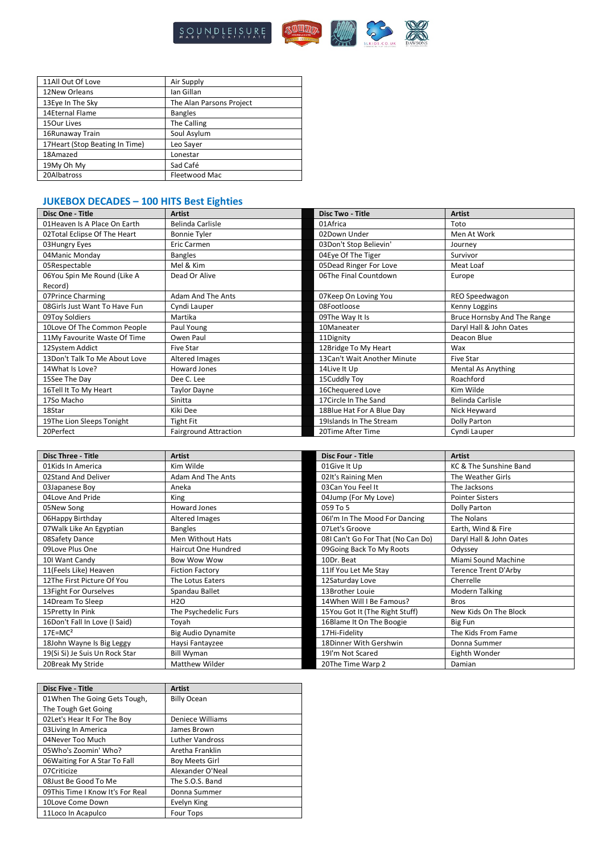

| 11All Out Of Love               | Air Supply               |
|---------------------------------|--------------------------|
| 12New Orleans                   | lan Gillan               |
| 13Eye In The Sky                | The Alan Parsons Project |
| 14Eternal Flame                 | <b>Bangles</b>           |
| 150ur Lives                     | The Calling              |
| 16Runaway Train                 | Soul Asylum              |
| 17 Heart (Stop Beating In Time) | Leo Sayer                |
| 18Amazed                        | Lonestar                 |
| 19My Oh My                      | Sad Café                 |
| 20Albatross                     | Fleetwood Mac            |

# **JUKEBOX DECADES – 100 HITS Best Eighties**

| Disc One - Title               | <b>Artist</b>                | <b>Disc Two - Title</b>     | <b>Artist</b>               |
|--------------------------------|------------------------------|-----------------------------|-----------------------------|
| 01Heaven Is A Place On Earth   | Belinda Carlisle             | 01Africa                    | Toto                        |
| 02Total Eclipse Of The Heart   | <b>Bonnie Tyler</b>          | 02Down Under                | Men At Work                 |
| 03Hungry Eyes                  | Eric Carmen                  | 03Don't Stop Believin'      | Journey                     |
| 04 Manic Monday                | <b>Bangles</b>               | 04Eye Of The Tiger          | Survivor                    |
| 05Respectable                  | Mel & Kim                    | 05Dead Ringer For Love      | Meat Loaf                   |
| 06You Spin Me Round (Like A    | Dead Or Alive                | 06The Final Countdown       | Europe                      |
| Record)                        |                              |                             |                             |
| 07Prince Charming              | <b>Adam And The Ants</b>     | 07Keep On Loving You        | REO Speedwagon              |
| 08 Girls Just Want To Have Fun | Cyndi Lauper                 | 08Footloose                 | Kenny Loggins               |
| 09Toy Soldiers                 | Martika                      | 09The Way It Is             | Bruce Hornsby And The Range |
| 10Love Of The Common People    | Paul Young                   | 10Maneater                  | Daryl Hall & John Oates     |
| 11My Favourite Waste Of Time   | Owen Paul                    | 11Dignity                   | Deacon Blue                 |
| 12System Addict                | <b>Five Star</b>             | 12Bridge To My Heart        | Wax                         |
| 13Don't Talk To Me About Love  | Altered Images               | 13Can't Wait Another Minute | <b>Five Star</b>            |
| 14What Is Love?                | Howard Jones                 | 14Live It Up                | <b>Mental As Anything</b>   |
| 15See The Day                  | Dee C. Lee                   | 15Cuddly Toy                | Roachford                   |
| 16Tell It To My Heart          | <b>Taylor Dayne</b>          | 16Chequered Love            | Kim Wilde                   |
| 17So Macho                     | Sinitta                      | 17Circle In The Sand        | Belinda Carlisle            |
| 18Star                         | Kiki Dee                     | 18Blue Hat For A Blue Day   | Nick Heyward                |
| 19The Lion Sleeps Tonight      | <b>Tight Fit</b>             | 19Islands In The Stream     | Dolly Parton                |
| 20Perfect                      | <b>Fairground Attraction</b> | 20Time After Time           | Cyndi Lauper                |

| <b>Disc Three - Title</b>      | <b>Artist</b>              | <b>Disc Four - Title</b>          | <b>Artist</b>               |
|--------------------------------|----------------------------|-----------------------------------|-----------------------------|
| 01 Kids In America             | Kim Wilde                  | 01Give It Up                      | KC & The Sunshine Band      |
| 02Stand And Deliver            | <b>Adam And The Ants</b>   | 02It's Raining Men                | The Weather Girls           |
| 03Japanese Boy                 | Aneka                      | 03Can You Feel It                 | The Jacksons                |
| 04Love And Pride               | King                       | 04Jump (For My Love)              | <b>Pointer Sisters</b>      |
| 05New Song                     | Howard Jones               | 059 To 5                          | Dolly Parton                |
| 06Happy Birthday               | Altered Images             | 061'm In The Mood For Dancing     | The Nolans                  |
| 07 Walk Like An Egyptian       | <b>Bangles</b>             | 07Let's Groove                    | Earth, Wind & Fire          |
| 08Safety Dance                 | Men Without Hats           | 08I Can't Go For That (No Can Do) | Daryl Hall & John Oates     |
| 09Love Plus One                | <b>Haircut One Hundred</b> | 09Going Back To My Roots          | Odyssey                     |
| 101 Want Candy                 | <b>Bow Wow Wow</b>         | 10Dr. Beat                        | Miami Sound Machine         |
| 11(Feels Like) Heaven          | <b>Fiction Factory</b>     | 11 If You Let Me Stay             | <b>Terence Trent D'Arby</b> |
| 12The First Picture Of You     | The Lotus Eaters           | 12Saturday Love                   | Cherrelle                   |
| 13 Fight For Ourselves         | Spandau Ballet             | 13Brother Louie                   | <b>Modern Talking</b>       |
| 14Dream To Sleep               | <b>H2O</b>                 | 14When Will I Be Famous?          | <b>Bros</b>                 |
| 15Pretty In Pink               | The Psychedelic Furs       | 15You Got It (The Right Stuff)    | New Kids On The Block       |
| 16Don't Fall In Love (I Said)  | Toyah                      | 16Blame It On The Boogie          | Big Fun                     |
| $17E=MC^2$                     | <b>Big Audio Dynamite</b>  | 17Hi-Fidelity                     | The Kids From Fame          |
| 18John Wayne Is Big Leggy      | Haysi Fantayzee            | 18Dinner With Gershwin            | Donna Summer                |
| 19(Si Si) Je Suis Un Rock Star | <b>Bill Wyman</b>          | 19I'm Not Scared                  | Eighth Wonder               |
| 20Break My Stride              | Matthew Wilder             | 20The Time Warp 2                 | Damian                      |

| <b>Disc Five - Title</b>         | <b>Artist</b>          |
|----------------------------------|------------------------|
| 01 When The Going Gets Tough,    | <b>Billy Ocean</b>     |
| The Tough Get Going              |                        |
| 02 Let's Hear It For The Boy     | Deniece Williams       |
| 03 Living In America             | James Brown            |
| 04Never Too Much                 | <b>Luther Vandross</b> |
| 05Who's Zoomin' Who?             | Aretha Franklin        |
| 06 Waiting For A Star To Fall    | <b>Boy Meets Girl</b>  |
| 07Criticize                      | Alexander O'Neal       |
| 08 Just Be Good To Me            | The S.O.S. Band        |
| 09This Time I Know It's For Real | Donna Summer           |
| 10Love Come Down                 | Evelyn King            |
| 11Loco In Acapulco               | Four Tops              |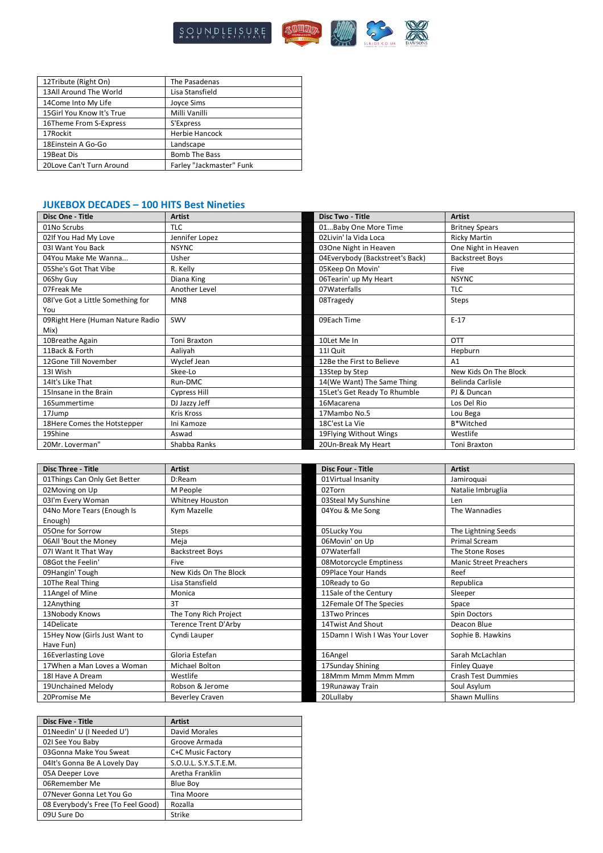

| 12Tribute (Right On)      | The Pasadenas            |
|---------------------------|--------------------------|
| 13All Around The World    | Lisa Stansfield          |
| 14Come Into My Life       | <b>Joyce Sims</b>        |
| 15Girl You Know It's True | Milli Vanilli            |
| 16Theme From S-Express    | S'Express                |
| 17Rockit                  | <b>Herbie Hancock</b>    |
| 18Einstein A Go-Go        | Landscape                |
| 19Beat Dis                | <b>Bomb The Bass</b>     |
| 20 Love Can't Turn Around | Farley "Jackmaster" Funk |

# **JUKEBOX DECADES – 100 HITS Best Nineties**

| Disc One - Title                  | <b>Artist</b>       | Disc Two - Title                | <b>Artist</b>          |
|-----------------------------------|---------------------|---------------------------------|------------------------|
| 01No Scrubs                       | <b>TLC</b>          | 01Baby One More Time            | <b>Britney Spears</b>  |
| 02If You Had My Love              | Jennifer Lopez      | 02Livin' la Vida Loca           | <b>Ricky Martin</b>    |
| 031 Want You Back                 | <b>NSYNC</b>        | 03One Night in Heaven           | One Night in Heaven    |
| 04You Make Me Wanna               | Usher               | 04Everybody (Backstreet's Back) | <b>Backstreet Boys</b> |
| 05She's Got That Vibe             | R. Kelly            | 05Keep On Movin'                | <b>Five</b>            |
| 06Shy Guy                         | Diana King          | 06Tearin' up My Heart           | <b>NSYNC</b>           |
| 07Freak Me                        | Another Level       | 07Waterfalls                    | <b>TLC</b>             |
| 08I've Got a Little Something for | MN <sub>8</sub>     | 08Tragedy                       | Steps                  |
| You                               |                     |                                 |                        |
| 09 Right Here (Human Nature Radio | SWV                 | 09Each Time                     | $E-17$                 |
| Mix)                              |                     |                                 |                        |
| 10Breathe Again                   | Toni Braxton        | 10Let Me In                     | <b>OTT</b>             |
| 11Back & Forth                    | Aaliyah             | 11I Quit                        | Hepburn                |
| 12Gone Till November              | Wyclef Jean         | 12Be the First to Believe       | A1                     |
| 13I Wish                          | Skee-Lo             | 13Step by Step                  | New Kids On The Block  |
| 14It's Like That                  | Run-DMC             | 14(We Want) The Same Thing      | Belinda Carlisle       |
| 15 Insane in the Brain            | <b>Cypress Hill</b> | 15Let's Get Ready To Rhumble    | PJ & Duncan            |
| 16Summertime                      | DJ Jazzy Jeff       | 16Macarena                      | Los Del Rio            |
| 17Jump                            | <b>Kris Kross</b>   | 17Mambo No.5                    | Lou Bega               |
| 18Here Comes the Hotstepper       | Ini Kamoze          | 18C'est La Vie                  | B*Witched              |
| 19Shine                           | Aswad               | 19Flying Without Wings          | Westlife               |
| 20Mr. Loverman"                   | Shabba Ranks        | 20Un-Break My Heart             | Toni Braxton           |

| <b>Disc Three - Title</b>     | <b>Artist</b>          | <b>Disc Four - Title</b>       | <b>Artist</b>                 |
|-------------------------------|------------------------|--------------------------------|-------------------------------|
| 01Things Can Only Get Better  | D:Ream                 | 01Virtual Insanity             | Jamiroquai                    |
| 02Moving on Up                | M People               | 02Torn                         | Natalie Imbruglia             |
| 03I'm Every Woman             | Whitney Houston        | 03Steal My Sunshine            | Len                           |
| 04No More Tears (Enough Is    | Kym Mazelle            | 04You & Me Song                | The Wannadies                 |
| Enough)                       |                        |                                |                               |
| 05One for Sorrow              | Steps                  | 05Lucky You                    | The Lightning Seeds           |
| 06All 'Bout the Money         | Meja                   | 06Movin' on Up                 | <b>Primal Scream</b>          |
| 07I Want It That Way          | <b>Backstreet Boys</b> | 07Waterfall                    | The Stone Roses               |
| 08Got the Feelin'             | <b>Five</b>            | 08Motorcycle Emptiness         | <b>Manic Street Preachers</b> |
| 09Hangin' Tough               | New Kids On The Block  | 09Place Your Hands             | Reef                          |
| 10The Real Thing              | Lisa Stansfield        | 10Ready to Go                  | Republica                     |
| 11Angel of Mine               | Monica                 | 11Sale of the Century          | Sleeper                       |
| 12Anything                    | 3T                     | 12Female Of The Species        | Space                         |
| 13Nobody Knows                | The Tony Rich Project  | 13Two Princes                  | Spin Doctors                  |
| 14Delicate                    | Terence Trent D'Arby   | 14Twist And Shout              | Deacon Blue                   |
| 15Hey Now (Girls Just Want to | Cyndi Lauper           | 15Damn I Wish I Was Your Lover | Sophie B. Hawkins             |
| Have Fun)                     |                        |                                |                               |
| 16Everlasting Love            | Gloria Estefan         | 16Angel                        | Sarah McLachlan               |
| 17When a Man Loves a Woman    | Michael Bolton         | 17Sunday Shining               | <b>Finley Quaye</b>           |
| 18I Have A Dream              | Westlife               | 18Mmm Mmm Mmm Mmm              | <b>Crash Test Dummies</b>     |
| 19Unchained Melody            | Robson & Jerome        | 19 Runaway Train               | Soul Asylum                   |
| 20Promise Me                  | <b>Beverley Craven</b> | 20Lullaby                      | <b>Shawn Mullins</b>          |

| <b>Disc Five - Title</b>           | <b>Artist</b>         |
|------------------------------------|-----------------------|
| 01Needin' U (I Needed U')          | David Morales         |
| 021 See You Baby                   | Groove Armada         |
| 03Gonna Make You Sweat             | C+C Music Factory     |
| 04It's Gonna Be A Lovely Day       | S.O.U.L. S.Y.S.T.E.M. |
| 05A Deeper Love                    | Aretha Franklin       |
| 06Remember Me                      | <b>Blue Boy</b>       |
| 07Never Gonna Let You Go           | Tina Moore            |
| 08 Everybody's Free (To Feel Good) | Rozalla               |
| 09U Sure Do                        | Strike                |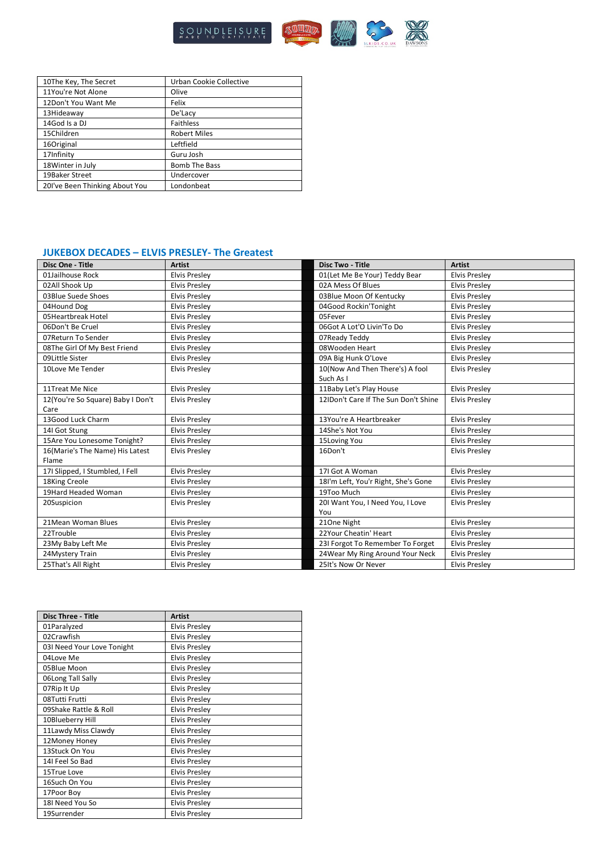

| 10The Key, The Secret          | Urban Cookie Collective |
|--------------------------------|-------------------------|
| 11You're Not Alone             | Olive                   |
| 12Don't You Want Me            | Felix                   |
| 13Hideaway                     | De'Lacy                 |
| 14God Is a DJ                  | <b>Faithless</b>        |
| 15Children                     | <b>Robert Miles</b>     |
| 16Original                     | Leftfield               |
| 17Infinity                     | Guru Josh               |
| 18 Winter in July              | <b>Bomb The Bass</b>    |
| 19Baker Street                 | Undercover              |
| 201've Been Thinking About You | Londonbeat              |

## **JUKEBOX DECADES – ELVIS PRESLEY- The Greatest**

| Disc One - Title                  | <b>Artist</b>        | <b>Disc Two - Title</b>              | <b>Artist</b>        |
|-----------------------------------|----------------------|--------------------------------------|----------------------|
| 01Jailhouse Rock                  | <b>Elvis Preslev</b> | 01(Let Me Be Your) Teddy Bear        | <b>Elvis Preslev</b> |
| 02All Shook Up                    | <b>Elvis Preslev</b> | 02A Mess Of Blues                    | <b>Elvis Preslev</b> |
| 03Blue Suede Shoes                | <b>Elvis Presley</b> | 03Blue Moon Of Kentucky              | <b>Elvis Presley</b> |
| 04Hound Dog                       | <b>Elvis Presley</b> | 04Good Rockin'Tonight                | <b>Elvis Preslev</b> |
| 05Heartbreak Hotel                | <b>Elvis Presley</b> | 05Fever                              | <b>Elvis Presley</b> |
| 06Don't Be Cruel                  | <b>Elvis Presley</b> | 06Got A Lot'O Livin'To Do            | <b>Elvis Presley</b> |
| 07Return To Sender                | <b>Elvis Presley</b> | 07Ready Teddy                        | <b>Elvis Preslev</b> |
| 08The Girl Of My Best Friend      | <b>Elvis Presley</b> | 08Wooden Heart                       | <b>Elvis Presley</b> |
| 09Little Sister                   | <b>Elvis Presley</b> | 09A Big Hunk O'Love                  | <b>Elvis Preslev</b> |
| 10Love Me Tender                  | <b>Elvis Presley</b> | 10(Now And Then There's) A fool      | <b>Elvis Presley</b> |
|                                   |                      | Such As I                            |                      |
| 11Treat Me Nice                   | <b>Elvis Presley</b> | 11Baby Let's Play House              | <b>Elvis Presley</b> |
| 12(You're So Square) Baby I Don't | <b>Elvis Presley</b> | 12IDon't Care If The Sun Don't Shine | <b>Elvis Presley</b> |
| Care                              |                      |                                      |                      |
| 13Good Luck Charm                 | <b>Elvis Presley</b> | 13You're A Heartbreaker              | <b>Elvis Presley</b> |
| 14I Got Stung                     | <b>Elvis Presley</b> | 14She's Not You                      | <b>Elvis Presley</b> |
| 15Are You Lonesome Tonight?       | <b>Elvis Presley</b> | 15Loving You                         | <b>Elvis Presley</b> |
| 16(Marie's The Name) His Latest   | <b>Elvis Presley</b> | 16Don't                              | <b>Elvis Presley</b> |
| Flame                             |                      |                                      |                      |
| 17I Slipped, I Stumbled, I Fell   | <b>Elvis Presley</b> | 17I Got A Woman                      | <b>Elvis Presley</b> |
| 18King Creole                     | <b>Elvis Presley</b> | 18I'm Left, You'r Right, She's Gone  | <b>Elvis Presley</b> |
| 19Hard Headed Woman               | <b>Elvis Presley</b> | 19Too Much                           | <b>Elvis Preslev</b> |
| 20Suspicion                       | <b>Elvis Presley</b> | 201 Want You, I Need You, I Love     | <b>Elvis Presley</b> |
|                                   |                      | You                                  |                      |
| 21 Mean Woman Blues               | <b>Elvis Presley</b> | 210ne Night                          | <b>Elvis Presley</b> |
| 22Trouble                         | <b>Elvis Presley</b> | 22Your Cheatin' Heart                | <b>Elvis Presley</b> |
| 23My Baby Left Me                 | <b>Elvis Presley</b> | 23I Forgot To Remember To Forget     | <b>Elvis Presley</b> |
| 24Mystery Train                   | <b>Elvis Presley</b> | 24 Wear My Ring Around Your Neck     | <b>Elvis Presley</b> |
| 25That's All Right                | <b>Elvis Presley</b> | 25It's Now Or Never                  | <b>Elvis Presley</b> |

| <b>Disc Three - Title</b>  | <b>Artist</b>        |
|----------------------------|----------------------|
| 01Paralyzed                | <b>Elvis Presley</b> |
| 02Crawfish                 | <b>Elvis Presley</b> |
| 03I Need Your Love Tonight | <b>Elvis Presley</b> |
| 04Love Me                  | <b>Elvis Presley</b> |
| 05Blue Moon                | <b>Elvis Presley</b> |
| 06Long Tall Sally          | <b>Elvis Presley</b> |
| 07Rip It Up                | <b>Elvis Presley</b> |
| 08Tutti Frutti             | <b>Elvis Presley</b> |
| 09Shake Rattle & Roll      | <b>Elvis Presley</b> |
| 10Blueberry Hill           | <b>Elvis Presley</b> |
| 11Lawdy Miss Clawdy        | <b>Elvis Presley</b> |
| 12Money Honey              | <b>Elvis Presley</b> |
| 13Stuck On You             | <b>Elvis Presley</b> |
| 14I Feel So Bad            | <b>Elvis Presley</b> |
| 15True Love                | <b>Elvis Presley</b> |
| 16Such On You              | <b>Elvis Presley</b> |
| 17Poor Boy                 | <b>Elvis Presley</b> |
| 18I Need You So            | <b>Elvis Presley</b> |
| 19Surrender                | <b>Elvis Presley</b> |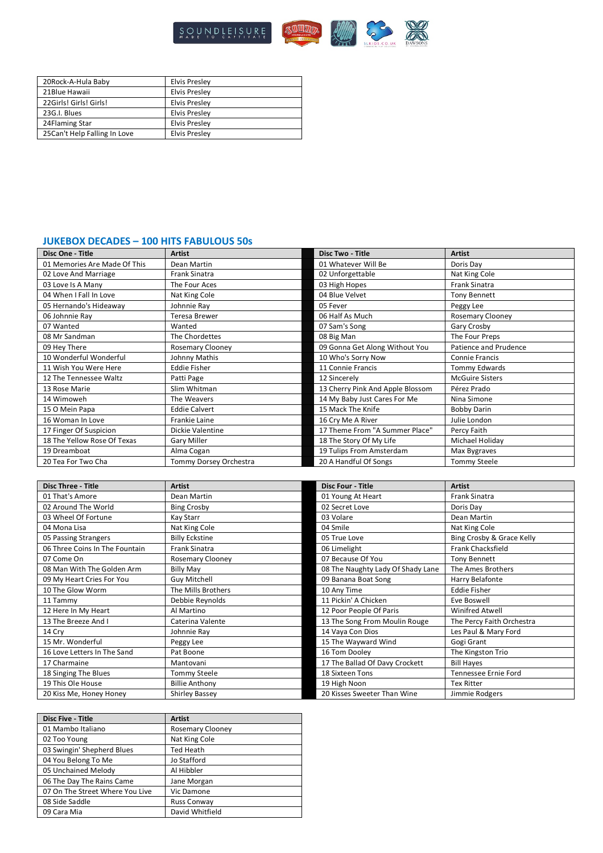

| 20Rock-A-Hula Baby           | <b>Elvis Presley</b> |
|------------------------------|----------------------|
| 21Blue Hawaii                | <b>Elvis Presley</b> |
| 22Girls! Girls! Girls!       | <b>Elvis Presley</b> |
| 23G.I. Blues                 | <b>Elvis Presley</b> |
| 24Flaming Star               | Elvis Preslev        |
| 25Can't Help Falling In Love | Elvis Preslev        |

### **JUKEBOX DECADES – 100 HITS FABULOUS 50s**

| Disc One - Title             | <b>Artist</b>           | <b>Disc Two - Title</b>          | <b>Artist</b>           |
|------------------------------|-------------------------|----------------------------------|-------------------------|
| 01 Memories Are Made Of This | Dean Martin             | 01 Whatever Will Be              | Doris Day               |
| 02 Love And Marriage         | Frank Sinatra           | 02 Unforgettable                 | Nat King Cole           |
| 03 Love Is A Many            | The Four Aces           | 03 High Hopes                    | <b>Frank Sinatra</b>    |
| 04 When I Fall In Love       | Nat King Cole           | 04 Blue Velvet                   | <b>Tony Bennett</b>     |
| 05 Hernando's Hideaway       | Johnnie Ray             | 05 Fever                         | Peggy Lee               |
| 06 Johnnie Ray               | Teresa Brewer           | 06 Half As Much                  | <b>Rosemary Clooney</b> |
| 07 Wanted                    | Wanted                  | 07 Sam's Song                    | Gary Crosby             |
| 08 Mr Sandman                | The Chordettes          | 08 Big Man                       | The Four Preps          |
| 09 Hey There                 | <b>Rosemary Clooney</b> | 09 Gonna Get Along Without You   | Patience and Prudence   |
| 10 Wonderful Wonderful       | Johnny Mathis           | 10 Who's Sorry Now               | Connie Francis          |
| 11 Wish You Were Here        | <b>Eddie Fisher</b>     | 11 Connie Francis                | Tommy Edwards           |
| 12 The Tennessee Waltz       | Patti Page              | 12 Sincerely                     | <b>McGuire Sisters</b>  |
| 13 Rose Marie                | Slim Whitman            | 13 Cherry Pink And Apple Blossom | Pérez Prado             |
| 14 Wimoweh                   | The Weavers             | 14 My Baby Just Cares For Me     | Nina Simone             |
| 15 O Mein Papa               | <b>Eddie Calvert</b>    | 15 Mack The Knife                | <b>Bobby Darin</b>      |
| 16 Woman In Love             | <b>Frankie Laine</b>    | 16 Cry Me A River                | Julie London            |
| 17 Finger Of Suspicion       | Dickie Valentine        | 17 Theme From "A Summer Place"   | Percy Faith             |
| 18 The Yellow Rose Of Texas  | Gary Miller             | 18 The Story Of My Life          | Michael Holiday         |
| 19 Dreamboat                 | Alma Cogan              | 19 Tulips From Amsterdam         | Max Bygraves            |
| 20 Tea For Two Cha           | Tommy Dorsey Orchestra  | 20 A Handful Of Songs            | <b>Tommy Steele</b>     |

| <b>Disc Three - Title</b>      | <b>Artist</b>           | <b>Disc Four - Title</b>          | <b>Artist</b>             |
|--------------------------------|-------------------------|-----------------------------------|---------------------------|
| 01 That's Amore                | Dean Martin             | 01 Young At Heart                 | <b>Frank Sinatra</b>      |
| 02 Around The World            | <b>Bing Crosby</b>      | 02 Secret Love                    | Doris Day                 |
| 03 Wheel Of Fortune            | Kay Starr               | 03 Volare                         | Dean Martin               |
| 04 Mona Lisa                   | Nat King Cole           | 04 Smile                          | Nat King Cole             |
| 05 Passing Strangers           | <b>Billy Eckstine</b>   | 05 True Love                      | Bing Crosby & Grace Kelly |
| 06 Three Coins In The Fountain | <b>Frank Sinatra</b>    | 06 Limelight                      | <b>Frank Chacksfield</b>  |
| 07 Come On                     | <b>Rosemary Clooney</b> | 07 Because Of You                 | <b>Tony Bennett</b>       |
| 08 Man With The Golden Arm     | <b>Billy May</b>        | 08 The Naughty Lady Of Shady Lane | The Ames Brothers         |
| 09 My Heart Cries For You      | Guy Mitchell            | 09 Banana Boat Song               | Harry Belafonte           |
| 10 The Glow Worm               | The Mills Brothers      | 10 Any Time                       | <b>Eddie Fisher</b>       |
| 11 Tammy                       | Debbie Reynolds         | 11 Pickin' A Chicken              | Eve Boswell               |
| 12 Here In My Heart            | Al Martino              | 12 Poor People Of Paris           | Winifred Atwell           |
| 13 The Breeze And I            | Caterina Valente        | 13 The Song From Moulin Rouge     | The Percy Faith Orchestra |
| 14 Cry                         | Johnnie Ray             | 14 Vaya Con Dios                  | Les Paul & Mary Ford      |
| 15 Mr. Wonderful               | Peggy Lee               | 15 The Wayward Wind               | Gogi Grant                |
| 16 Love Letters In The Sand    | Pat Boone               | 16 Tom Dooley                     | The Kingston Trio         |
| 17 Charmaine                   | Mantovani               | 17 The Ballad Of Davy Crockett    | <b>Bill Hayes</b>         |
| 18 Singing The Blues           | Tommy Steele            | 18 Sixteen Tons                   | Tennessee Ernie Ford      |
| 19 This Ole House              | <b>Billie Anthony</b>   | 19 High Noon                      | <b>Tex Ritter</b>         |
| 20 Kiss Me, Honey Honey        | <b>Shirley Bassey</b>   | 20 Kisses Sweeter Than Wine       | Jimmie Rodgers            |

| <b>Disc Five - Title</b>        | <b>Artist</b>           |
|---------------------------------|-------------------------|
| 01 Mambo Italiano               | <b>Rosemary Clooney</b> |
| 02 Too Young                    | Nat King Cole           |
| 03 Swingin' Shepherd Blues      | Ted Heath               |
| 04 You Belong To Me             | Jo Stafford             |
| 05 Unchained Melody             | Al Hibbler              |
| 06 The Day The Rains Came       | Jane Morgan             |
| 07 On The Street Where You Live | Vic Damone              |
| 08 Side Saddle                  | <b>Russ Conway</b>      |
| 09 Cara Mia                     | David Whitfield         |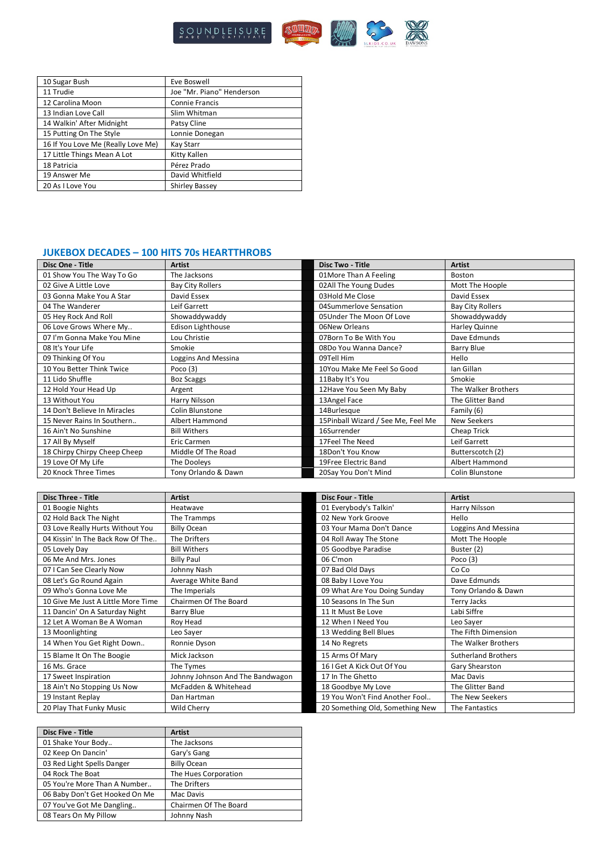

| 10 Sugar Bush                      | Eve Boswell               |
|------------------------------------|---------------------------|
| 11 Trudie                          | Joe "Mr. Piano" Henderson |
| 12 Carolina Moon                   | <b>Connie Francis</b>     |
| 13 Indian Love Call                | Slim Whitman              |
| 14 Walkin' After Midnight          | Patsy Cline               |
| 15 Putting On The Style            | Lonnie Donegan            |
| 16 If You Love Me (Really Love Me) | Kay Starr                 |
| 17 Little Things Mean A Lot        | Kitty Kallen              |
| 18 Patricia                        | Pérez Prado               |
| 19 Answer Me                       | David Whitfield           |
| 20 As I Love You                   | <b>Shirley Bassey</b>     |

## **JUKEBOX DECADES – 100 HITS 70s HEARTTHROBS**

| Disc One - Title             | <b>Artist</b>            | <b>Disc Two - Title</b>            | <b>Artist</b>           |
|------------------------------|--------------------------|------------------------------------|-------------------------|
| 01 Show You The Way To Go    | The Jacksons             | 01More Than A Feeling              | Boston                  |
| 02 Give A Little Love        | <b>Bay City Rollers</b>  | 02All The Young Dudes              | Mott The Hoople         |
| 03 Gonna Make You A Star     | David Essex              | 03Hold Me Close                    | David Essex             |
| 04 The Wanderer              | Leif Garrett             | 04Summerlove Sensation             | <b>Bay City Rollers</b> |
| 05 Hey Rock And Roll         | Showaddywaddy            | 05Under The Moon Of Love           | Showaddywaddy           |
| 06 Love Grows Where My       | <b>Edison Lighthouse</b> | 06New Orleans                      | Harley Quinne           |
| 07 I'm Gonna Make You Mine   | Lou Christie             | 07Born To Be With You              | Dave Edmunds            |
| 08 It's Your Life            | Smokie                   | 08Do You Wanna Dance?              | Barry Blue              |
| 09 Thinking Of You           | Loggins And Messina      | 09Tell Him                         | Hello                   |
| 10 You Better Think Twice    | Poco $(3)$               | 10You Make Me Feel So Good         | Ian Gillan              |
| 11 Lido Shuffle              | <b>Boz Scaggs</b>        | 11Baby It's You                    | Smokie                  |
| 12 Hold Your Head Up         | Argent                   | 12Have You Seen My Baby            | The Walker Brothers     |
| 13 Without You               | Harry Nilsson            | 13Angel Face                       | The Glitter Band        |
| 14 Don't Believe In Miracles | Colin Blunstone          | 14Burlesque                        | Family (6)              |
| 15 Never Rains In Southern   | Albert Hammond           | 15Pinball Wizard / See Me, Feel Me | New Seekers             |
| 16 Ain't No Sunshine         | <b>Bill Withers</b>      | 16Surrender                        | Cheap Trick             |
| 17 All By Myself             | <b>Eric Carmen</b>       | 17Feel The Need                    | Leif Garrett            |
| 18 Chirpy Chirpy Cheep Cheep | Middle Of The Road       | 18Don't You Know                   | Butterscotch (2)        |
| 19 Love Of My Life           | The Dooleys              | 19Free Electric Band               | Albert Hammond          |
| 20 Knock Three Times         | Tony Orlando & Dawn      | 20Say You Don't Mind               | Colin Blunstone         |

| <b>Disc Three - Title</b>          | <b>Artist</b>                    | <b>Disc Four - Title</b>        | <b>Artist</b>              |
|------------------------------------|----------------------------------|---------------------------------|----------------------------|
| 01 Boogie Nights                   | Heatwave                         | 01 Everybody's Talkin'          | Harry Nilsson              |
| 02 Hold Back The Night             | The Trammps                      | 02 New York Groove              | Hello                      |
| 03 Love Really Hurts Without You   | <b>Billy Ocean</b>               | 03 Your Mama Don't Dance        | Loggins And Messina        |
| 04 Kissin' In The Back Row Of The  | The Drifters                     | 04 Roll Away The Stone          | Mott The Hoople            |
| 05 Lovely Day                      | <b>Bill Withers</b>              | 05 Goodbye Paradise             | Buster (2)                 |
| 06 Me And Mrs. Jones               | <b>Billy Paul</b>                | 06 C'mon                        | Poco $(3)$                 |
| 07 I Can See Clearly Now           | Johnny Nash                      | 07 Bad Old Days                 | Co Co                      |
| 08 Let's Go Round Again            | Average White Band               | 08 Baby I Love You              | Dave Edmunds               |
| 09 Who's Gonna Love Me             | The Imperials                    | 09 What Are You Doing Sunday    | Tony Orlando & Dawn        |
| 10 Give Me Just A Little More Time | Chairmen Of The Board            | 10 Seasons In The Sun           | Terry Jacks                |
| 11 Dancin' On A Saturday Night     | Barry Blue                       | 11 It Must Be Love              | Labi Siffre                |
| 12 Let A Woman Be A Woman          | Roy Head                         | 12 When I Need You              | Leo Saver                  |
| 13 Moonlighting                    | Leo Sayer                        | 13 Wedding Bell Blues           | The Fifth Dimension        |
| 14 When You Get Right Down         | Ronnie Dyson                     | 14 No Regrets                   | The Walker Brothers        |
| 15 Blame It On The Boogie          | Mick Jackson                     | 15 Arms Of Mary                 | <b>Sutherland Brothers</b> |
| 16 Ms. Grace                       | The Tymes                        | 16 I Get A Kick Out Of You      | Gary Shearston             |
| 17 Sweet Inspiration               | Johnny Johnson And The Bandwagon | 17 In The Ghetto                | Mac Davis                  |
| 18 Ain't No Stopping Us Now        | McFadden & Whitehead             | 18 Goodbye My Love              | The Glitter Band           |
| 19 Instant Replay                  | Dan Hartman                      | 19 You Won't Find Another Fool  | The New Seekers            |
| 20 Play That Funky Music           | Wild Cherry                      | 20 Something Old, Something New | The Fantastics             |

| <b>Disc Five - Title</b>       | <b>Artist</b>         |
|--------------------------------|-----------------------|
| 01 Shake Your Body             | The Jacksons          |
| 02 Keep On Dancin'             | Gary's Gang           |
| 03 Red Light Spells Danger     | <b>Billy Ocean</b>    |
| 04 Rock The Boat               | The Hues Corporation  |
| 05 You're More Than A Number   | The Drifters          |
| 06 Baby Don't Get Hooked On Me | Mac Davis             |
| 07 You've Got Me Dangling      | Chairmen Of The Board |
| 08 Tears On My Pillow          | Johnny Nash           |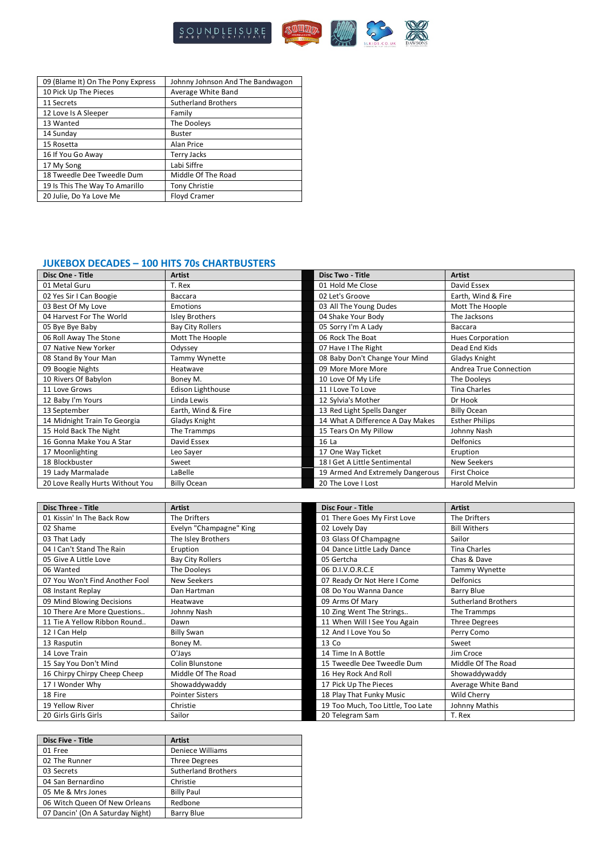

| 09 (Blame It) On The Pony Express | Johnny Johnson And The Bandwagon |
|-----------------------------------|----------------------------------|
| 10 Pick Up The Pieces             | Average White Band               |
| 11 Secrets                        | <b>Sutherland Brothers</b>       |
| 12 Love Is A Sleeper              | Family                           |
| 13 Wanted                         | The Dooleys                      |
| 14 Sunday                         | <b>Buster</b>                    |
| 15 Rosetta                        | <b>Alan Price</b>                |
| 16 If You Go Away                 | Terry Jacks                      |
| 17 My Song                        | Labi Siffre                      |
| 18 Tweedle Dee Tweedle Dum        | Middle Of The Road               |
| 19 Is This The Way To Amarillo    | <b>Tony Christie</b>             |
| 20 Julie, Do Ya Love Me           | <b>Floyd Cramer</b>              |

## **JUKEBOX DECADES – 100 HITS 70s CHARTBUSTERS**

| Disc One - Title                 | <b>Artist</b>           | <b>Disc Two - Title</b>          | <b>Artist</b>           |
|----------------------------------|-------------------------|----------------------------------|-------------------------|
| 01 Metal Guru                    | T. Rex                  | 01 Hold Me Close                 | David Essex             |
| 02 Yes Sir I Can Boogie          | Baccara                 | 02 Let's Groove                  | Earth, Wind & Fire      |
| 03 Best Of My Love               | Emotions                | 03 All The Young Dudes           | Mott The Hoople         |
| 04 Harvest For The World         | <b>Isley Brothers</b>   | 04 Shake Your Body               | The Jacksons            |
| 05 Bye Bye Baby                  | <b>Bay City Rollers</b> | 05 Sorry I'm A Lady              | Baccara                 |
| 06 Roll Away The Stone           | Mott The Hoople         | 06 Rock The Boat                 | <b>Hues Corporation</b> |
| 07 Native New Yorker             | Odyssey                 | 07 Have I The Right              | Dead End Kids           |
| 08 Stand By Your Man             | Tammy Wynette           | 08 Baby Don't Change Your Mind   | Gladys Knight           |
| 09 Boogie Nights                 | Heatwave                | 09 More More More                | Andrea True Connection  |
| 10 Rivers Of Babylon             | Boney M.                | 10 Love Of My Life               | The Dooleys             |
| 11 Love Grows                    | Edison Lighthouse       | 11 I Love To Love                | <b>Tina Charles</b>     |
| 12 Baby I'm Yours                | Linda Lewis             | 12 Sylvia's Mother               | Dr Hook                 |
| 13 September                     | Earth, Wind & Fire      | 13 Red Light Spells Danger       | <b>Billy Ocean</b>      |
| 14 Midnight Train To Georgia     | Gladys Knight           | 14 What A Difference A Day Makes | <b>Esther Philips</b>   |
| 15 Hold Back The Night           | The Trammps             | 15 Tears On My Pillow            | Johnny Nash             |
| 16 Gonna Make You A Star         | David Essex             | 16 La                            | <b>Delfonics</b>        |
| 17 Moonlighting                  | Leo Sayer               | 17 One Way Ticket                | Eruption                |
| 18 Blockbuster                   | Sweet                   | 18 I Get A Little Sentimental    | New Seekers             |
| 19 Lady Marmalade                | LaBelle                 | 19 Armed And Extremely Dangerous | <b>First Choice</b>     |
| 20 Love Really Hurts Without You | <b>Billy Ocean</b>      | 20 The Love I Lost               | <b>Harold Melvin</b>    |

| <b>Disc Three - Title</b>      | <b>Artist</b>           | <b>Disc Four - Title</b>          | <b>Artist</b>              |
|--------------------------------|-------------------------|-----------------------------------|----------------------------|
| 01 Kissin' In The Back Row     | The Drifters            | 01 There Goes My First Love       | The Drifters               |
| 02 Shame                       | Evelyn "Champagne" King | 02 Lovely Day                     | <b>Bill Withers</b>        |
| 03 That Lady                   | The Isley Brothers      | 03 Glass Of Champagne             | Sailor                     |
| 04   Can't Stand The Rain      | Eruption                | 04 Dance Little Lady Dance        | <b>Tina Charles</b>        |
| 05 Give A Little Love          | <b>Bay City Rollers</b> | 05 Gertcha                        | Chas & Dave                |
| 06 Wanted                      | The Dooleys             | 06 D.I.V.O.R.C.E                  | Tammy Wynette              |
| 07 You Won't Find Another Fool | New Seekers             | 07 Ready Or Not Here I Come       | <b>Delfonics</b>           |
| 08 Instant Replay              | Dan Hartman             | 08 Do You Wanna Dance             | Barry Blue                 |
| 09 Mind Blowing Decisions      | Heatwave                | 09 Arms Of Mary                   | <b>Sutherland Brothers</b> |
| 10 There Are More Questions    | Johnny Nash             | 10 Zing Went The Strings          | The Trammps                |
| 11 Tie A Yellow Ribbon Round   | Dawn                    | 11 When Will I See You Again      | <b>Three Degrees</b>       |
| 12   Can Help                  | <b>Billy Swan</b>       | 12 And I Love You So              | Perry Como                 |
| 13 Rasputin                    | Boney M.                | 13 Co                             | Sweet                      |
| 14 Love Train                  | O'Jays                  | 14 Time In A Bottle               | Jim Croce                  |
| 15 Say You Don't Mind          | Colin Blunstone         | 15 Tweedle Dee Tweedle Dum        | Middle Of The Road         |
| 16 Chirpy Chirpy Cheep Cheep   | Middle Of The Road      | 16 Hey Rock And Roll              | Showaddywaddy              |
| 17 I Wonder Why                | Showaddywaddy           | 17 Pick Up The Pieces             | Average White Band         |
| 18 Fire                        | <b>Pointer Sisters</b>  | 18 Play That Funky Music          | Wild Cherry                |
| 19 Yellow River                | Christie                | 19 Too Much, Too Little, Too Late | Johnny Mathis              |
| 20 Girls Girls Girls           | Sailor                  | 20 Telegram Sam                   | T. Rex                     |

| <b>Disc Five - Title</b>         | <b>Artist</b>              |
|----------------------------------|----------------------------|
| 01 Free                          | <b>Deniece Williams</b>    |
| 02 The Runner                    | <b>Three Degrees</b>       |
| 03 Secrets                       | <b>Sutherland Brothers</b> |
| 04 San Bernardino                | Christie                   |
| 05 Me & Mrs Jones                | <b>Billy Paul</b>          |
| 06 Witch Queen Of New Orleans    | Redbone                    |
| 07 Dancin' (On A Saturday Night) | Barry Blue                 |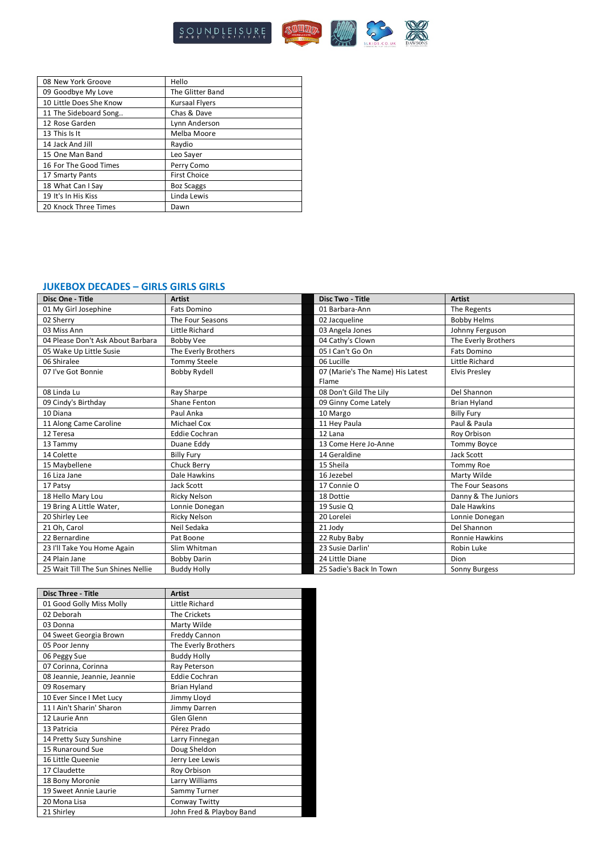

| 08 New York Groove      | Hello                 |
|-------------------------|-----------------------|
| 09 Goodbye My Love      | The Glitter Band      |
| 10 Little Does She Know | <b>Kursaal Flyers</b> |
| 11 The Sideboard Song   | Chas & Dave           |
| 12 Rose Garden          | Lynn Anderson         |
| 13 This Is It           | Melba Moore           |
| 14 Jack And Jill        | Raydio                |
| 15 One Man Band         | Leo Sayer             |
| 16 For The Good Times   | Perry Como            |
| 17 Smarty Pants         | <b>First Choice</b>   |
| 18 What Can I Say       | <b>Boz Scaggs</b>     |
| 19 It's In His Kiss     | Linda Lewis           |
| 20 Knock Three Times    | Dawn                  |

### **JUKEBOX DECADES – GIRLS GIRLS GIRLS**

| Disc One - Title                   | <b>Artist</b>        | <b>Disc Two - Title</b>          | <b>Artist</b>         |
|------------------------------------|----------------------|----------------------------------|-----------------------|
| 01 My Girl Josephine               | Fats Domino          | 01 Barbara-Ann                   | The Regents           |
| 02 Sherry                          | The Four Seasons     | 02 Jacqueline                    | <b>Bobby Helms</b>    |
| 03 Miss Ann                        | Little Richard       | 03 Angela Jones                  | Johnny Ferguson       |
| 04 Please Don't Ask About Barbara  | Bobby Vee            | 04 Cathy's Clown                 | The Everly Brothers   |
| 05 Wake Up Little Susie            | The Everly Brothers  | 05   Can't Go On                 | <b>Fats Domino</b>    |
| 06 Shiralee                        | <b>Tommy Steele</b>  | 06 Lucille                       | Little Richard        |
| 07 I've Got Bonnie                 | <b>Bobby Rydell</b>  | 07 (Marie's The Name) His Latest | <b>Elvis Preslev</b>  |
|                                    |                      | Flame                            |                       |
| 08 Linda Lu                        | Ray Sharpe           | 08 Don't Gild The Lily           | Del Shannon           |
| 09 Cindy's Birthday                | Shane Fenton         | 09 Ginny Come Lately             | <b>Brian Hyland</b>   |
| 10 Diana                           | Paul Anka            | 10 Margo                         | <b>Billy Fury</b>     |
| 11 Along Came Caroline             | <b>Michael Cox</b>   | 11 Hey Paula                     | Paul & Paula          |
| 12 Teresa                          | <b>Eddie Cochran</b> | 12 Lana                          | Roy Orbison           |
| 13 Tammy                           | Duane Eddy           | 13 Come Here Jo-Anne             | Tommy Boyce           |
| 14 Colette                         | <b>Billy Fury</b>    | 14 Geraldine                     | Jack Scott            |
| 15 Maybellene                      | Chuck Berry          | 15 Sheila                        | <b>Tommy Roe</b>      |
| 16 Liza Jane                       | Dale Hawkins         | 16 Jezebel                       | Marty Wilde           |
| 17 Patsy                           | <b>Jack Scott</b>    | 17 Connie O                      | The Four Seasons      |
| 18 Hello Mary Lou                  | Ricky Nelson         | 18 Dottie                        | Danny & The Juniors   |
| 19 Bring A Little Water,           | Lonnie Donegan       | 19 Susie Q                       | Dale Hawkins          |
| 20 Shirley Lee                     | <b>Ricky Nelson</b>  | 20 Lorelei                       | Lonnie Donegan        |
| 21 Oh, Carol                       | Neil Sedaka          | 21 Jody                          | Del Shannon           |
| 22 Bernardine                      | Pat Boone            | 22 Ruby Baby                     | <b>Ronnie Hawkins</b> |
| 23 I'll Take You Home Again        | Slim Whitman         | 23 Susie Darlin'                 | Robin Luke            |
| 24 Plain Jane                      | <b>Bobby Darin</b>   | 24 Little Diane                  | Dion                  |
| 25 Wait Till The Sun Shines Nellie | <b>Buddy Holly</b>   | 25 Sadie's Back In Town          | Sonny Burgess         |

| <b>Disc Three - Title</b>    | <b>Artist</b>            |
|------------------------------|--------------------------|
| 01 Good Golly Miss Molly     | Little Richard           |
| 02 Deborah                   | <b>The Crickets</b>      |
| 03 Donna                     | Marty Wilde              |
| 04 Sweet Georgia Brown       | Freddy Cannon            |
| 05 Poor Jenny                | The Everly Brothers      |
| 06 Peggy Sue                 | <b>Buddy Holly</b>       |
| 07 Corinna, Corinna          | Ray Peterson             |
| 08 Jeannie, Jeannie, Jeannie | <b>Eddie Cochran</b>     |
| 09 Rosemary                  | <b>Brian Hyland</b>      |
| 10 Ever Since I Met Lucy     | Jimmy Lloyd              |
| 11   Ain't Sharin' Sharon    | Jimmy Darren             |
| 12 Laurie Ann                | Glen Glenn               |
| 13 Patricia                  | Pérez Prado              |
| 14 Pretty Suzy Sunshine      | Larry Finnegan           |
| 15 Runaround Sue             | Doug Sheldon             |
| 16 Little Queenie            | Jerry Lee Lewis          |
| 17 Claudette                 | Roy Orbison              |
| 18 Bony Moronie              | Larry Williams           |
| 19 Sweet Annie Laurie        | Sammy Turner             |
| 20 Mona Lisa                 | Conway Twitty            |
| 21 Shirley                   | John Fred & Playboy Band |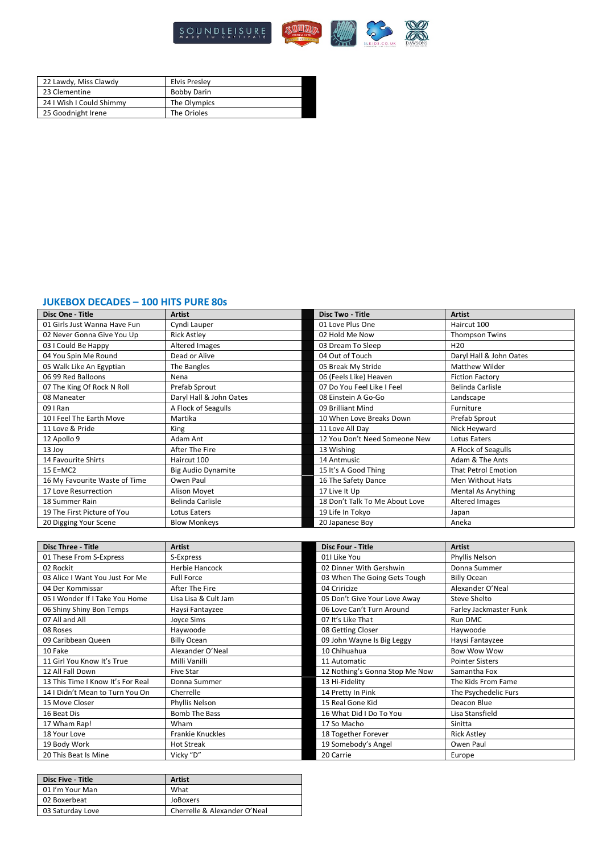

| 22 Lawdy, Miss Clawdy    | <b>Elvis Presley</b> |
|--------------------------|----------------------|
| 23 Clementine            | <b>Bobby Darin</b>   |
| 24 I Wish I Could Shimmy | The Olympics         |
| 25 Goodnight Irene       | The Orioles          |

## **JUKEBOX DECADES – 100 HITS PURE 80s**

| Disc One - Title              | <b>Artist</b>             | <b>Disc Two - Title</b>        | <b>Artist</b>              |
|-------------------------------|---------------------------|--------------------------------|----------------------------|
| 01 Girls Just Wanna Have Fun  | Cyndi Lauper              | 01 Love Plus One               | Haircut 100                |
| 02 Never Gonna Give You Up    | <b>Rick Astley</b>        | 02 Hold Me Now                 | <b>Thompson Twins</b>      |
| 03 I Could Be Happy           | Altered Images            | 03 Dream To Sleep              | H <sub>20</sub>            |
| 04 You Spin Me Round          | Dead or Alive             | 04 Out of Touch                | Daryl Hall & John Oates    |
| 05 Walk Like An Egyptian      | The Bangles               | 05 Break My Stride             | Matthew Wilder             |
| 06 99 Red Balloons            | Nena                      | 06 (Feels Like) Heaven         | <b>Fiction Factory</b>     |
| 07 The King Of Rock N Roll    | Prefab Sprout             | 07 Do You Feel Like I Feel     | Belinda Carlisle           |
| 08 Maneater                   | Daryl Hall & John Oates   | 08 Einstein A Go-Go            | Landscape                  |
| 09   Ran                      | A Flock of Seagulls       | 09 Brilliant Mind              | Furniture                  |
| 10 I Feel The Earth Move      | Martika                   | 10 When Love Breaks Down       | Prefab Sprout              |
| 11 Love & Pride               | King                      | 11 Love All Day                | Nick Heyward               |
| 12 Apollo 9                   | Adam Ant                  | 12 You Don't Need Someone New  | Lotus Eaters               |
| 13 Joy                        | After The Fire            | 13 Wishing                     | A Flock of Seagulls        |
| 14 Favourite Shirts           | Haircut 100               | 14 Antmusic                    | Adam & The Ants            |
| $15$ E=MC2                    | <b>Big Audio Dynamite</b> | 15 It's A Good Thing           | <b>That Petrol Emotion</b> |
| 16 My Favourite Waste of Time | Owen Paul                 | 16 The Safety Dance            | Men Without Hats           |
| 17 Love Resurrection          | Alison Moyet              | 17 Live It Up                  | <b>Mental As Anything</b>  |
| 18 Summer Rain                | Belinda Carlisle          | 18 Don't Talk To Me About Love | Altered Images             |
| 19 The First Picture of You   | Lotus Eaters              | 19 Life In Tokyo               | Japan                      |
| 20 Digging Your Scene         | <b>Blow Monkeys</b>       | 20 Japanese Boy                | Aneka                      |

| <b>Disc Three - Title</b>         | <b>Artist</b>         | <b>Disc Four - Title</b>       | <b>Artist</b>          |
|-----------------------------------|-----------------------|--------------------------------|------------------------|
| 01 These From S-Express           | S-Express             | 01I Like You                   | Phyllis Nelson         |
| 02 Rockit                         | <b>Herbie Hancock</b> | 02 Dinner With Gershwin        | Donna Summer           |
| 03 Alice I Want You Just For Me   | <b>Full Force</b>     | 03 When The Going Gets Tough   | <b>Billy Ocean</b>     |
| 04 Der Kommissar                  | After The Fire        | 04 Criricize                   | Alexander O'Neal       |
| 05 I Wonder If I Take You Home    | Lisa Lisa & Cult Jam  | 05 Don't Give Your Love Away   | Steve Shelto           |
| 06 Shiny Shiny Bon Temps          | Haysi Fantayzee       | 06 Love Can't Turn Around      | Farley Jackmaster Funk |
| 07 All and All                    | <b>Joyce Sims</b>     | 07 It's Like That              | Run DMC                |
| 08 Roses                          | Haywoode              | 08 Getting Closer              | Haywoode               |
| 09 Caribbean Queen                | <b>Billy Ocean</b>    | 09 John Wayne Is Big Leggy     | Haysi Fantayzee        |
| 10 Fake                           | Alexander O'Neal      | 10 Chihuahua                   | <b>Bow Wow Wow</b>     |
| 11 Girl You Know It's True        | Milli Vanilli         | 11 Automatic                   | <b>Pointer Sisters</b> |
| 12 All Fall Down                  | <b>Five Star</b>      | 12 Nothing's Gonna Stop Me Now | Samantha Fox           |
| 13 This Time I Know It's For Real | Donna Summer          | 13 Hi-Fidelity                 | The Kids From Fame     |
| 14   Didn't Mean to Turn You On   | Cherrelle             | 14 Pretty In Pink              | The Psychedelic Furs   |
| 15 Move Closer                    | Phyllis Nelson        | 15 Real Gone Kid               | Deacon Blue            |
| 16 Beat Dis                       | <b>Bomb The Bass</b>  | 16 What Did I Do To You        | Lisa Stansfield        |
| 17 Wham Rap!                      | Wham                  | 17 So Macho                    | Sinitta                |
| 18 Your Love                      | Frankie Knuckles      | 18 Together Forever            | <b>Rick Astley</b>     |
| 19 Body Work                      | <b>Hot Streak</b>     | 19 Somebody's Angel            | Owen Paul              |
| 20 This Beat Is Mine              | Vicky "D"             | 20 Carrie                      | Europe                 |

| <b>Disc Five - Title</b> | <b>Artist</b>                |
|--------------------------|------------------------------|
| 01 I'm Your Man          | What                         |
| 02 Boxerbeat             | JoBoxers                     |
| 03 Saturday Love         | Cherrelle & Alexander O'Neal |